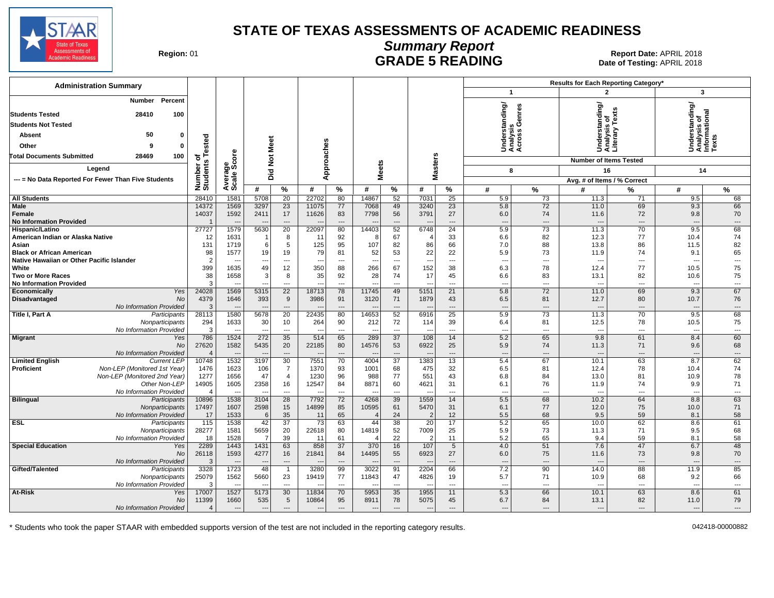

## **Summary Report**

Region: 01 **Region: 01 CONTRIGE 5 READING Report Date: APRIL 2018**<br>Bate of Testing: APRIL 2018 Date of Testing: APRIL 2018

| <b>Administration Summary</b>                                                 |                         |                        |                                 |                                             |                                   |                                |                          |                      |                                  |                          |                                 |                                             | Results for Each Reporting Category*            |                                |                                                |                                |
|-------------------------------------------------------------------------------|-------------------------|------------------------|---------------------------------|---------------------------------------------|-----------------------------------|--------------------------------|--------------------------|----------------------|----------------------------------|--------------------------|---------------------------------|---------------------------------------------|-------------------------------------------------|--------------------------------|------------------------------------------------|--------------------------------|
|                                                                               |                         |                        |                                 |                                             |                                   |                                |                          |                      |                                  |                          | $\mathbf{1}$                    |                                             | $\overline{2}$                                  |                                | $\mathbf{3}$                                   |                                |
| <b>Number</b><br>Percent                                                      |                         |                        |                                 |                                             |                                   |                                |                          |                      |                                  |                          |                                 | Understanding/<br>Analysis<br>Across Genres |                                                 |                                | Understanding/<br>Analysis of<br>Informational |                                |
| 28410<br><b>Students Tested</b><br>100                                        |                         |                        |                                 |                                             |                                   |                                |                          |                      |                                  |                          |                                 |                                             |                                                 |                                |                                                |                                |
| <b>Students Not Tested</b>                                                    |                         |                        |                                 |                                             |                                   |                                |                          |                      |                                  |                          |                                 |                                             |                                                 |                                |                                                |                                |
| 50<br>Absent<br>$\mathbf 0$                                                   |                         |                        |                                 |                                             |                                   |                                |                          |                      |                                  |                          |                                 |                                             | Understanding/<br>Analysis of<br>Literary Texts |                                |                                                |                                |
| Other<br>9<br>0                                                               | ested                   |                        |                                 |                                             |                                   |                                |                          |                      |                                  |                          |                                 |                                             |                                                 |                                |                                                |                                |
| 100<br><b>Total Documents Submitted</b><br>28469                              | ۴<br>ъ                  |                        |                                 |                                             |                                   |                                |                          |                      |                                  |                          |                                 |                                             |                                                 |                                |                                                |                                |
|                                                                               | Number of<br>Students   | Average<br>Scale Score | Did Not Meet                    |                                             |                                   | pproaches                      |                          |                      | <b>Masters</b>                   |                          |                                 |                                             | <b>Number of Items Tested</b>                   |                                |                                                |                                |
| Legend                                                                        |                         |                        |                                 |                                             | ৰ                                 |                                |                          | <b>Meets</b>         |                                  |                          |                                 | 8                                           | 16                                              |                                | 14                                             |                                |
| --- = No Data Reported For Fewer Than Five Students                           |                         |                        | #                               |                                             |                                   |                                | #                        |                      |                                  |                          |                                 |                                             | Avg. # of Items / % Correct                     |                                |                                                |                                |
| <b>All Students</b>                                                           | 28410                   | 1581                   | 5708                            | $\%$<br>20                                  | #<br>22702                        | %<br>80                        | 14867                    | %<br>52              | #<br>7031                        | %<br>25                  | #<br>5.9                        | $\frac{9}{6}$<br>73                         | #<br>11.3                                       | %<br>71                        | #<br>9.5                                       | $\%$<br>68                     |
| <b>Male</b>                                                                   | 14372                   | 1569                   | 3297                            | 23                                          | 11075                             | 77                             | 7068                     | 49                   | 3240                             | 23                       | 5.8                             | 72                                          | 11.0                                            | 69                             | 9.3                                            | 66                             |
| Female                                                                        | 14037                   | 1592                   | 2411                            | 17                                          | 11626                             | 83                             | 7798                     | 56                   | 3791                             | 27                       | 6.0                             | 74                                          | 11.6                                            | 72                             | 9.8                                            | 70                             |
| <b>No Information Provided</b>                                                |                         |                        |                                 | $\overline{\phantom{a}}$                    |                                   | $\overline{\phantom{a}}$       |                          | ---                  | --                               | $\overline{\phantom{a}}$ | $\overline{\phantom{a}}$        | $\cdots$                                    |                                                 | $\overline{\phantom{a}}$       | $\overline{\phantom{a}}$                       | ---                            |
| Hispanic/Latino                                                               | 27727                   | 1579                   | 5630                            | $\overline{20}$                             | 22097                             | 80                             | 14403                    | 52                   | 6748                             | $\overline{24}$          | 5.9                             | 73                                          | 11.3                                            | 70                             | 9.5                                            | 68                             |
| American Indian or Alaska Native                                              | 12                      | 1631                   |                                 | 8                                           | 11                                | 92                             | 8                        | 67                   | $\overline{4}$                   | 33                       | 6.6                             | 82                                          | 12.3                                            | 77                             | 10.4                                           | 74                             |
| Asian                                                                         | 131                     | 1719                   | 6<br>19                         | 5                                           | 125<br>79                         | 95<br>81                       | 107                      | 82<br>53             | 86<br>22                         | 66                       | 7.0<br>5.9                      | 88<br>73                                    | 13.8                                            | 86<br>74                       | 11.5                                           | 82<br>65                       |
| <b>Black or African American</b><br>Native Hawaiian or Other Pacific Islander | 98<br>$\overline{2}$    | 1577<br>$\overline{a}$ | ---                             | 19<br>$\sim$                                | $\overline{\phantom{a}}$          | $\overline{\phantom{a}}$       | 52<br>$\overline{a}$     | $\overline{a}$       | $\overline{\phantom{a}}$         | 22<br>$\overline{a}$     | $\overline{\phantom{a}}$        | $\sim$                                      | 11.9<br>$\overline{a}$                          | $\overline{\phantom{a}}$       | 9.1<br>$\overline{\phantom{a}}$                | $\overline{\phantom{a}}$       |
| White                                                                         | 399                     | 1635                   | 49                              | 12                                          | 350                               | 88                             | 266                      | 67                   | 152                              | 38                       | 6.3                             | 78                                          | 12.4                                            | 77                             | 10.5                                           | 75                             |
| <b>Two or More Races</b>                                                      | 38                      | 1658                   | 3                               | 8                                           | 35                                | 92                             | 28                       | 74                   | 17                               | 45                       | 6.6                             | 83                                          | 13.1                                            | 82                             | 10.6                                           | 75                             |
| <b>No Information Provided</b>                                                | 3                       | $\sim$                 |                                 | $---$                                       | --                                | $\overline{\phantom{a}}$       | $\overline{\phantom{a}}$ | ---                  | $\overline{\phantom{a}}$         | $---$                    | $\overline{\phantom{a}}$        | ---                                         | $\overline{a}$                                  | ---                            | $\overline{\phantom{a}}$                       | ---                            |
| Economically<br>Yes                                                           | 24028                   | 1569                   | 5315                            | 22                                          | 18713                             | 78                             | 11745                    | 49                   | 5151                             | 21                       | 5.8                             | 72                                          | 11.0                                            | 69                             | 9.3                                            | 67                             |
| <b>No</b><br>Disadvantaged<br>No Information Provided                         | 4379<br>3               | 1646<br>---            | 393<br>$\overline{\phantom{a}}$ | 9<br>$---$                                  | 3986<br>$\overline{\phantom{a}}$  | 91<br>$---$                    | 3120<br>$\overline{a}$   | 71<br>$---$          | 1879<br>$\overline{a}$           | 43<br>$\overline{a}$     | 6.5<br>$\overline{a}$           | 81<br>$---$                                 | 12.7<br>$\overline{\phantom{a}}$                | 80<br>$---$                    | 10.7<br>$---$                                  | 76<br>$---$                    |
| Title I, Part A<br>Participants                                               | 28113                   | 1580                   | 5678                            | 20                                          | 22435                             | 80                             | 14653                    | 52                   | 6916                             | 25                       | 5.9                             | 73                                          | 11.3                                            | 70                             | 9.5                                            | 68                             |
| Nonparticipants                                                               | 294                     | 1633                   | 30                              | 10                                          | 264                               | 90                             | 212                      | 72                   | 114                              | 39                       | 6.4                             | 81                                          | 12.5                                            | 78                             | 10.5                                           | 75                             |
| No Information Provided                                                       | 3                       | $\overline{a}$         | ---                             | $\overline{\phantom{a}}$                    | $\overline{\phantom{a}}$          | $\overline{\phantom{a}}$       | $\overline{a}$           | ---                  | $\overline{\phantom{a}}$         | $\overline{a}$           | $\overline{\phantom{a}}$        | $\overline{a}$                              | $\overline{a}$                                  | ---                            | $\overline{\phantom{a}}$                       | ---                            |
| <b>Migrant</b><br>Yes                                                         | 786                     | 1524                   | 272                             | 35                                          | 514                               | 65                             | 289                      | 37                   | 108                              | 14                       | 5.2                             | 65                                          | 9.8                                             | 61                             | 8.4                                            | 60                             |
| No<br>No Information Provided                                                 | 27620<br>$\overline{4}$ | 1582                   | 5435                            | 20<br>$\cdots$                              | 22185<br>$\overline{\phantom{a}}$ | 80<br>$\overline{\phantom{a}}$ | 14576                    | 53<br>$\overline{a}$ | 6922<br>$\overline{\phantom{a}}$ | 25<br>$\overline{a}$     | 5.9<br>$\overline{\phantom{a}}$ | 74<br>---                                   | 11.3<br>$\overline{\phantom{a}}$                | 71<br>$\cdots$                 | 9.6<br>$\overline{\phantom{a}}$                | 68<br>---                      |
| <b>Limited English</b><br><b>Current LEP</b>                                  | 10748                   | 1532                   | 3197                            | 30                                          | 7551                              | 70                             | 4004                     | $\overline{37}$      | 1383                             | 13                       | 5.4                             | 67                                          | 10.1                                            | 63                             | 8.7                                            | 62                             |
| Non-LEP (Monitored 1st Year)<br><b>Proficient</b>                             | 1476                    | 1623                   | 106                             | $\overline{7}$                              | 1370                              | 93                             | 1001                     | 68                   | 475                              | 32                       | 6.5                             | 81                                          | 12.4                                            | 78                             | 10.4                                           | 74                             |
| Non-LEP (Monitored 2nd Year)                                                  | 1277                    | 1656                   | 47                              | $\overline{4}$                              | 1230                              | 96                             | 988                      | 77                   | 551                              | 43                       | 6.8                             | 84                                          | 13.0                                            | 81                             | 10.9                                           | 78                             |
| Other Non-LEP                                                                 | 14905                   | 1605                   | 2358                            | 16                                          | 12547                             | 84                             | 8871                     | 60                   | 4621                             | 31                       | 6.1                             | 76                                          | 11.9                                            | 74                             | 9.9                                            | 71                             |
| No Information Provided                                                       | $\overline{4}$          | ---                    | ---                             | $\overline{\phantom{a}}$<br>$\overline{28}$ | $\overline{\phantom{a}}$<br>7792  | $\overline{\phantom{a}}$       | $\overline{\phantom{a}}$ | ---<br>39            | $\overline{\phantom{a}}$         | $\overline{a}$<br>14     | $\overline{\phantom{a}}$<br>5.5 | $\overline{\phantom{a}}$<br>68              | $\overline{\phantom{a}}$<br>10.2                | ---<br>64                      | $\overline{\phantom{a}}$<br>8.8                | $\hspace{0.05cm} \ldots$<br>63 |
| <b>Bilingual</b><br>Participants<br>Nonparticipants                           | 10896<br>17497          | 1538<br>1607           | 3104<br>2598                    | 15                                          | 14899                             | 72<br>85                       | 4268<br>10595            | 61                   | 1559<br>5470                     | 31                       | 6.1                             | 77                                          | 12.0                                            | 75                             | 10.0                                           | 71                             |
| No Information Provided                                                       | 17                      | 1533                   | 6                               | 35                                          | 11                                | 65                             |                          | 24                   | $\overline{2}$                   | 12 <sup>2</sup>          | 5.5                             | 68                                          | 9.5                                             | 59                             | 8.1                                            | 58                             |
| <b>ESL</b><br>Participants                                                    | 115                     | 1538                   | 42                              | $\overline{37}$                             | $\overline{73}$                   | 63                             | 44                       | 38                   | 20                               | 17                       | 5.2                             | 65                                          | 10.0                                            | 62                             | 8.6                                            | 61                             |
| Nonparticipants                                                               | 28277                   | 1581                   | 5659                            | 20                                          | 22618                             | 80                             | 14819                    | 52                   | 7009                             | 25                       | 5.9                             | 73                                          | 11.3                                            | 71                             | 9.5                                            | 68                             |
| No Information Provideo                                                       | 18                      | 1528                   | -7                              | 39                                          | 11                                | 61                             |                          | 22                   | $\overline{2}$                   | 11                       | 5.2                             | 65                                          | 9.4                                             | 59                             | 8.1                                            | 58                             |
| <b>Special Education</b><br>Yes<br>No                                         | 2289                    | 1443<br>1593           | 1431                            | 63<br>16                                    | 858<br>21841                      | 37                             | 370<br>14495             | 16                   | 107                              | $5\phantom{.0}$<br>27    | 4.0                             | 51                                          | 7.6<br>11.6                                     | 47                             | 6.7                                            | 48<br>70                       |
| No Information Provided                                                       | 26118<br>3              |                        | 4277<br>$\sim$                  | $\overline{\phantom{a}}$                    | $\sim$                            | 84<br>$\overline{\phantom{a}}$ | $\overline{\phantom{a}}$ | 55<br>$\overline{a}$ | 6923<br>$\sim$                   | $-$                      | 6.0<br>$\sim$                   | 75<br>$\overline{\phantom{a}}$              | $-$                                             | 73<br>$\overline{\phantom{a}}$ | 9.8<br>$\overline{\phantom{a}}$                | $\overline{a}$                 |
| Gifted/Talented<br>Participants                                               | 3328                    | 1723                   | 48                              | $\mathbf{1}$                                | 3280                              | 99                             | 3022                     | 91                   | 2204                             | 66                       | 7.2                             | 90                                          | 14.0                                            | 88                             | 11.9                                           | 85                             |
| Nonparticipants                                                               | 25079                   | 1562                   | 5660                            | 23                                          | 19419                             | 77                             | 11843                    | 47                   | 4826                             | 19                       | 5.7                             | 71                                          | 10.9                                            | 68                             | 9.2                                            | 66                             |
| No Information Provideo                                                       | 3                       |                        | ---                             | $\overline{a}$                              | --                                | $\overline{\phantom{a}}$       | $\overline{a}$           | $\overline{a}$       | $\overline{a}$                   | $\overline{a}$           | $\overline{a}$                  | $\sim$                                      | $\overline{a}$                                  | $\sim$                         | $\overline{\phantom{a}}$                       | $---$                          |
| <b>At-Risk</b><br>Yes                                                         | 17007                   | 1527                   | 5173                            | 30                                          | 11834                             | 70                             | 5953                     | 35                   | 1955                             | 11                       | 5.3                             | 66                                          | 10.1                                            | 63                             | 8.6                                            | 61                             |
| No                                                                            | 11399<br>$\overline{4}$ | 1660<br>$---$          | 535<br>$\overline{\phantom{a}}$ | 5<br>$---$                                  | 10864<br>$\overline{\phantom{a}}$ | 95<br>$---$                    | 8911<br>$\overline{a}$   | 78<br>$---$          | 5075<br>$\overline{\phantom{a}}$ | 45<br>$---$              | 6.7                             | 84                                          | 13.1                                            | 82<br>$---$                    | 11.0                                           | 79                             |
| No Information Provided                                                       |                         |                        |                                 |                                             |                                   |                                |                          |                      |                                  |                          | $---$                           | $---$                                       | $\overline{a}$                                  |                                | $\overline{\phantom{a}}$                       | $---$                          |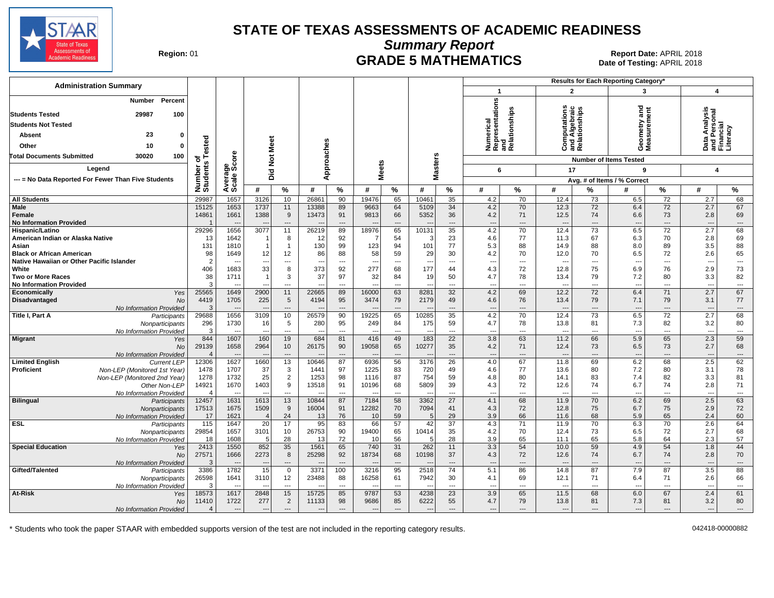

**Summary Report**

Region: 01 **Region: 01 Date: APRIL 2018**<br>Bate of Testing: APRIL 2018 Date of Testing: APRIL 2018

| <b>Administration Summary</b>                               |                          |                |                          |                               |                          |                                |                          |                |                          |                      |                                                      |                |                                  |                                | Results for Each Reporting Category* |                          |                                 |                              |
|-------------------------------------------------------------|--------------------------|----------------|--------------------------|-------------------------------|--------------------------|--------------------------------|--------------------------|----------------|--------------------------|----------------------|------------------------------------------------------|----------------|----------------------------------|--------------------------------|--------------------------------------|--------------------------|---------------------------------|------------------------------|
|                                                             |                          |                |                          |                               |                          |                                |                          |                |                          |                      | $\blacktriangleleft$                                 |                | $\overline{2}$                   |                                | 3                                    |                          | $\overline{\mathbf{A}}$         |                              |
| Percent<br>Number<br>29987<br><b>Students Tested</b><br>100 |                          |                |                          |                               |                          |                                |                          |                |                          |                      | Numerical<br>Representations<br>and<br>Relationships |                |                                  | and Algebraic<br>Relationships | ठ<br>듢                               |                          | Personal<br>Icial<br>Analysi    |                              |
| <b>Students Not Tested</b>                                  |                          |                |                          |                               |                          |                                |                          |                |                          |                      |                                                      |                |                                  |                                | surem<br>metry                       |                          |                                 |                              |
| 23<br>Absent<br>$\Omega$                                    |                          |                |                          |                               |                          |                                |                          |                |                          |                      |                                                      |                |                                  |                                |                                      |                          | ዺ                               |                              |
| 10<br>Other<br>$\Omega$                                     | ested                    |                | Meet                     |                               |                          |                                |                          |                |                          |                      |                                                      |                |                                  |                                | ទី ទី<br>ÒΣ                          |                          | <u> 호</u>                       |                              |
| <b>Total Documents Submitted</b><br>30020<br>100            | ৳                        | Φ<br>ŏ         | $\frac{5}{2}$            |                               |                          |                                |                          |                |                          |                      |                                                      |                |                                  |                                | <b>Number of Items Tested</b>        |                          | ப்லப்                           |                              |
| Legend                                                      | S                        | န္တပ္တိ        |                          |                               | Approaches               |                                | <b>Meets</b>             |                | <b>Masters</b>           |                      | 6                                                    |                | 17                               |                                | 9                                    |                          | $\overline{\mathbf{4}}$         |                              |
| --- = No Data Reported For Fewer Than Five Students         |                          |                | Did                      |                               |                          |                                |                          |                |                          |                      |                                                      |                |                                  |                                | Avg. # of Items / % Correct          |                          |                                 |                              |
|                                                             | Number<br>Students       | Avera          | #                        | $\frac{9}{6}$                 | #                        | %                              | #                        | %              | #                        | $\%$                 | #                                                    | %              | #                                | %                              | #                                    | %                        | #                               | %                            |
| <b>All Students</b>                                         | 29987                    | 1657           | 3126                     | 10                            | 26861                    | 90                             | 19476                    | 65             | 10461                    | 35                   | 4.2                                                  | 70             | 12.4                             | 73                             | 6.5                                  | $\overline{72}$          | 2.7                             | 68                           |
| Male                                                        | 15125                    | 1653           | 1737                     | 11                            | 13388                    | 89                             | 9663                     | 64             | 5109                     | 34                   | 4.2                                                  | 70             | 12.3                             | 72                             | 6.4                                  | 72                       | 2.7                             | 67                           |
| Female<br><b>No Information Provided</b>                    | 14861                    | 1661           | 1388                     | 9<br>$\overline{\phantom{a}}$ | 13473                    | 91<br>$\overline{a}$           | 9813                     | 66<br>---      | 5352                     | 36<br>$\overline{a}$ | 4.2<br>$\overline{\phantom{a}}$                      | 71<br>---      | 12.5                             | 74<br>---                      | 6.6<br>$\overline{\phantom{a}}$      | 73<br>---                | 2.8<br>$\overline{\phantom{a}}$ | 69<br>$\qquad \qquad \cdots$ |
| Hispanic/Latino                                             | 29296                    | 1656           | 3077                     | 11                            | 26219                    | 89                             | 18976                    | 65             | 10131                    | 35                   | 4.2                                                  | 70             | 12.4                             | 73                             | 6.5                                  | 72                       | 2.7                             | 68                           |
| American Indian or Alaska Native<br>Asian                   | 13<br>131                | 1642<br>1810   |                          | 8<br>$\mathbf{1}$             | 12<br>130                | 92<br>99                       | 123                      | 54<br>94       | 3<br>101                 | 23<br>77             | 4.6<br>5.3                                           | 77<br>88       | 11.3<br>14.9                     | 67<br>88                       | 6.3<br>8.0                           | 70<br>89                 | 2.8<br>3.5                      | 69<br>88                     |
| <b>Black or African American</b>                            | 98                       | 1649           | 12                       | 12                            | 86                       | 88                             | 58                       | 59             | 29                       | 30                   | 4.2                                                  | 70             | 12.0                             | 70                             | 6.5                                  | 72                       | 2.6                             | 65                           |
| Native Hawaiian or Other Pacific Islander                   | 2                        | ---            | $\sim$                   | $---$                         |                          | $\overline{a}$                 | $\overline{a}$           | $\overline{a}$ | $\overline{\phantom{a}}$ | $---$                | ---                                                  | ---            | $\sim$                           | $\overline{a}$                 | $\sim$                               | $\overline{a}$           | $\overline{a}$                  | ---                          |
| White                                                       | 406                      | 1683           | 33                       | 8                             | 373                      | 92                             | 277                      | 68             | 177                      | 44                   | 4.3                                                  | 72             | 12.8                             | 75                             | 6.9                                  | 76                       | 2.9                             | 73                           |
| <b>Two or More Races</b>                                    | 38                       | 1711           |                          | 3                             | 37                       | 97                             | 32                       | 84             | 19                       | 50                   | 4.7                                                  | 78             | 13.4                             | 79                             | 7.2                                  | 80                       | 3.3                             | 82                           |
| <b>No Information Provided</b>                              | 3                        |                |                          | $---$                         |                          | $\overline{a}$                 |                          | $\overline{a}$ | $\sim$                   | $\overline{a}$       | $\overline{a}$                                       | ---            | $\sim$                           | $---$                          | $\sim$                               | $\overline{a}$           | $\overline{\phantom{a}}$        | ---                          |
| Economically<br>Yes                                         | 25565                    | 1649           | 2900                     | 11                            | 22665                    | 89                             | 16000                    | 63             | 8281                     | 32                   | 4.2                                                  | 69             | 12.2                             | 72                             | 6.4                                  | 71                       | 2.7                             | 67                           |
| Disadvantaged<br>No                                         | 4419                     | 1705           | 225                      | 5                             | 4194                     | 95                             | 3474                     | 79             | 2179                     | 49                   | 4.6                                                  | 76             | 13.4                             | 79                             | 7.1                                  | 79                       | 3.1                             | 77                           |
| No Information Provided                                     | 3<br>29688               | $---$<br>1656  | 3109                     | $---$<br>10                   | 26579                    | $\overline{a}$<br>90           | 19225                    | $---$<br>65    | 10285                    | ---<br>35            | ---<br>4.2                                           | $---$<br>70    | $\overline{\phantom{a}}$<br>12.4 | $---$<br>73                    | $---$<br>6.5                         | $---$<br>$\overline{72}$ | $\overline{\phantom{a}}$<br>2.7 | $\cdots$<br>68               |
| Title I, Part A<br>Participants<br>Nonparticipants          | 296                      | 1730           | 16                       | $\,$ 5 $\,$                   | 280                      | 95                             | 249                      | 84             | 175                      | 59                   | 4.7                                                  | 78             | 13.8                             | 81                             | 7.3                                  | 82                       | 3.2                             | 80                           |
| No Information Provided                                     | ß                        | $\ddotsc$      | ---                      | $\cdots$                      | $\overline{\phantom{a}}$ | ---                            | $- -$                    | ---            | $\overline{\phantom{a}}$ | ---                  | ---                                                  | ---            | $---$                            | ---                            | $\overline{\phantom{a}}$             | ---                      | $\overline{\phantom{a}}$        | $\hspace{0.05cm} \ldots$     |
| <b>Migrant</b><br>Yes                                       | 844                      | 1607           | 160                      | 19                            | 684                      | 81                             | 416                      | 49             | 183                      | 22                   | 3.8                                                  | 63             | 11.2                             | 66                             | 5.9                                  | 65                       | 2.3                             | 59                           |
| <b>No</b>                                                   | 29139                    | 1658           | 2964                     | 10                            | 26175                    | 90                             | 19058                    | 65             | 10277                    | 35                   | 4.2                                                  | 71             | 12.4                             | 73                             | 6.5                                  | 73                       | 2.7                             | 68                           |
| No Information Provided                                     | $\overline{\mathbf{A}}$  | $\overline{a}$ |                          | $---$                         |                          | $\overline{a}$                 |                          | $---$          |                          | $\overline{a}$       | ---                                                  | $\overline{a}$ | $\overline{\phantom{a}}$         | $\overline{a}$                 | $\sim$                               | $\overline{a}$           | $\overline{\phantom{a}}$        | $\overline{\phantom{a}}$     |
| <b>Limited English</b><br><b>Current LEP</b>                | 12306                    | 1627           | 1660                     | 13                            | 10646                    | 87                             | 6936                     | 56             | 3176                     | 26                   | 4.0                                                  | 67             | 11.8                             | 69                             | 6.2                                  | 68                       | 2.5                             | 62                           |
| <b>Proficient</b><br>Non-LEP (Monitored 1st Year)           | 1478                     | 1707           | 37                       | $\mathsf 3$                   | 1441                     | 97                             | 1225                     | 83             | 720                      | 49                   | 4.6                                                  | 77             | 13.6                             | 80                             | 7.2                                  | 80                       | 3.1                             | 78                           |
| Non-LEP (Monitored 2nd Year)<br>Other Non-LEP               | 1278<br>14921            | 1732<br>1670   | 25<br>1403               | $\sqrt{2}$<br>9               | 1253<br>13518            | 98<br>91                       | 1116<br>10196            | 87<br>68       | 754<br>5809              | 59<br>39             | 4.8<br>4.3                                           | 80<br>72       | 14.1<br>12.6                     | 83<br>74                       | 7.4<br>6.7                           | 82<br>74                 | 3.3<br>2.8                      | 81<br>71                     |
| No Information Provided                                     | $\overline{4}$           |                |                          | $\overline{\phantom{a}}$      |                          | ---                            |                          | $\overline{a}$ |                          | ---                  | --                                                   | ---            | $\overline{\phantom{a}}$         | $\overline{a}$                 | $\overline{\phantom{a}}$             | ---                      | $\overline{\phantom{a}}$        | $\cdots$                     |
| <b>Bilingual</b><br>Participants                            | 12457                    | 1631           | 1613                     | 13                            | 10844                    | 87                             | 7184                     | 58             | 3362                     | 27                   | 4.1                                                  | 68             | 11.9                             | 70                             | 6.2                                  | 69                       | 2.5                             | 63                           |
| Nonparticipants                                             | 17513                    | 1675           | 1509                     | 9                             | 16004                    | 91                             | 12282                    | 70             | 7094                     | 41                   | 4.3                                                  | 72             | 12.8                             | 75                             | 6.7                                  | 75                       | 2.9                             | 72                           |
| No Information Provided                                     | 17                       | 1621           | $\overline{4}$           | 24                            | 13                       | 76                             | 10                       | 59             | 5                        | 29                   | 3.9                                                  | 66             | 11.6                             | 68                             | 5.9                                  | 65                       | 2.4                             | 60                           |
| <b>ESL</b><br>Participants                                  | $\overline{115}$         | 1647           | 20                       | 17                            | 95                       | 83                             | 66                       | 57             | 42                       | $\overline{37}$      | 4.3                                                  | 71             | 11.9                             | 70                             | 6.3                                  | 70                       | 2.6                             | 64                           |
| Nonparticipants                                             | 29854                    | 1657           | 3101                     | 10                            | 26753                    | 90                             | 19400                    | 65             | 10414                    | 35                   | 4.2                                                  | 70             | 12.4                             | 73                             | 6.5                                  | 72                       | 2.7                             | 68                           |
| No Information Provided                                     | 18                       | 1608           | 5 <sup>5</sup>           | 28                            | 13                       | 72                             | 10                       | 56             | 5                        | 28                   | 3.9                                                  | 65             | 11.1                             | 65                             | 5.8                                  | 64                       | 2.3                             | 57                           |
| <b>Special Education</b><br>Yes                             | 2413                     | 1550           | 852                      | 35                            | 1561                     | 65                             | 740                      | 31             | 262                      | 11                   | 3.3                                                  | 54             | 10.0                             | 59                             | 4.9                                  | 54                       | 1.8                             | 44                           |
| No<br>No Information Provided                               | 27571<br>ß               | 1666           | 2273                     | 8<br>$\overline{a}$           | 25298                    | 92<br>$\overline{\phantom{a}}$ | 18734                    | 68<br>---      | 10198                    | 37<br>$\overline{a}$ | 4.3<br>$\overline{a}$                                | 72<br>---      | 12.6                             | 74<br>$\overline{a}$           | 6.7<br>$\overline{a}$                | 74<br>---                | 2.8<br>$\overline{a}$           | 70<br>$\cdots$               |
| Gifted/Talented<br>Participants                             | 3386                     | 1782           | 15                       | $\mathbf 0$                   | 3371                     | 100                            | 3216                     | 95             | 2518                     | $\overline{74}$      | 5.1                                                  | 86             | 14.8                             | 87                             | 7.9                                  | 87                       | 3.5                             | 88                           |
| Nonparticipants                                             | 26598                    | 1641           | 3110                     | 12                            | 23488                    | 88                             | 16258                    | 61             | 7942                     | 30                   | 4.1                                                  | 69             | 12.1                             | 71                             | 6.4                                  | 71                       | 2.6                             | 66                           |
| No Information Provideo                                     | p                        |                |                          | $---$                         |                          | $---$                          |                          | $\overline{a}$ |                          | $---$                | --                                                   | ---            | $\sim$                           | $\overline{a}$                 | $\overline{a}$                       | $\overline{a}$           | $\overline{\phantom{a}}$        | $\hspace{0.05cm} \ldots$     |
| At-Risk<br>Yes                                              | 18573                    | 1617           | 2848                     | 15                            | 15725                    | 85                             | 9787                     | 53             | 4238                     | 23                   | 3.9                                                  | 65             | 11.5                             | 68                             | 6.0                                  | 67                       | 2.4                             | 61                           |
| No                                                          | 11410                    | 1722           | 277                      | $\sqrt{2}$                    | 11133                    | 98                             | 9686                     | 85             | 6222                     | 55                   | 4.7                                                  | 79             | 13.8                             | 81                             | 7.3                                  | 81                       | 3.2                             | 80                           |
| No Information Provided                                     | $\overline{\mathcal{L}}$ | $\sim$         | $\overline{\phantom{a}}$ | $---$                         | $\overline{\phantom{a}}$ | $\overline{a}$                 | $\overline{\phantom{a}}$ | $\overline{a}$ | $\overline{\phantom{a}}$ | $---$                | ---                                                  | ---            | $---$                            | $---$                          | $\overline{\phantom{a}}$             | $---$                    | $\overline{\phantom{a}}$        | $\overline{\phantom{a}}$     |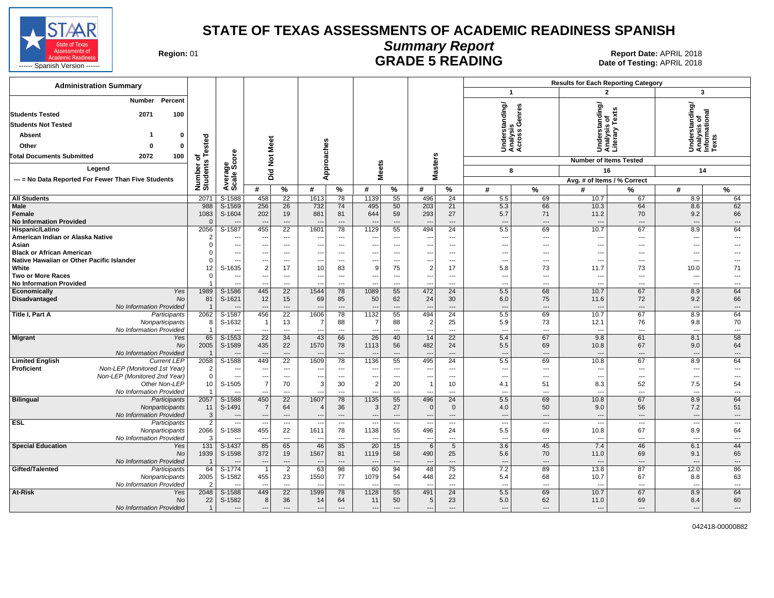

**Summary Report**

Region: 01 **Region: 01 CONTRIGE 5 READING Report Date: APRIL 2018**<br>Bate of Testing: APRIL 2018

| <b>Administration Summary</b>                                                            |                   |                          |                                                      |                               |                          |                          |                          |                                 |                                                      |                                 |                                              | <b>Results for Each Reporting Category</b><br>$\mathbf{3}$<br>$\overline{2}$ |                                                      |                                |                                                         |                          |
|------------------------------------------------------------------------------------------|-------------------|--------------------------|------------------------------------------------------|-------------------------------|--------------------------|--------------------------|--------------------------|---------------------------------|------------------------------------------------------|---------------------------------|----------------------------------------------|------------------------------------------------------------------------------|------------------------------------------------------|--------------------------------|---------------------------------------------------------|--------------------------|
|                                                                                          |                   |                          |                                                      |                               |                          |                          |                          |                                 |                                                      |                                 | $\mathbf{1}$                                 |                                                                              |                                                      |                                |                                                         |                          |
| Percent<br>Number<br><b>Students Tested</b><br>100<br>2071<br><b>Students Not Tested</b> |                   |                          |                                                      |                               |                          |                          |                          |                                 |                                                      |                                 | tanding/<br>Understa<br>Analysis<br>Across G | Genres                                                                       | Understanding/<br>Analysis of<br>Literary Texts      |                                | Understanding/<br>Analysis of<br>Informational<br>Texts |                          |
| Absent<br>n                                                                              |                   |                          |                                                      |                               |                          |                          |                          |                                 |                                                      |                                 |                                              |                                                                              |                                                      |                                |                                                         |                          |
| Other<br>n<br>n                                                                          | ested             |                          | Meet                                                 |                               |                          |                          |                          |                                 |                                                      |                                 |                                              |                                                                              |                                                      |                                |                                                         |                          |
| 100<br><b>Total Documents Submitted</b><br>2072                                          | ৳<br>w            | <b>ore</b>               | $\frac{5}{2}$                                        |                               |                          |                          |                          |                                 |                                                      |                                 |                                              |                                                                              | <b>Number of Items Tested</b>                        |                                |                                                         |                          |
| Legend                                                                                   | Number<br>Student | န္တပ္တိ                  |                                                      |                               | Approaches               |                          | <b>Meets</b>             |                                 | <b>Masters</b>                                       |                                 | 8                                            |                                                                              | 16                                                   |                                | 14                                                      |                          |
| --- = No Data Reported For Fewer Than Five Students                                      |                   | Avera                    | Did                                                  |                               |                          |                          |                          |                                 |                                                      |                                 |                                              |                                                                              | Avg. # of Items / % Correct                          |                                |                                                         |                          |
|                                                                                          |                   |                          | #                                                    | $\%$                          | #                        | $\%$                     | #                        | %                               | #                                                    | %                               | #                                            | $\%$                                                                         | #                                                    | %                              | #                                                       | %                        |
| <b>All Students</b>                                                                      | 2071              | S-1588                   | 458                                                  | 22                            | 1613                     | 78                       | 1139                     | 55                              | 496                                                  | 24                              | 5.5                                          | 69                                                                           | 10.7                                                 | 67                             | 8.9                                                     | 64                       |
| <b>Male</b>                                                                              | 988               | S-1569                   | 256                                                  | 26                            | 732                      | 74                       | 495                      | 50                              | 203                                                  | 21                              | 5.3                                          | 66                                                                           | 10.3                                                 | 64                             | 8.6                                                     | 62                       |
| Female                                                                                   | 1083              | S-1604                   | 202                                                  | 19                            | 881                      | 81                       | 644                      | 59                              | 293                                                  | 27                              | 5.7                                          | 71                                                                           | 11.2                                                 | 70                             | 9.2                                                     | 66                       |
| <b>No Information Provided</b>                                                           | $\Omega$          |                          | $\overline{\phantom{a}}$                             | $\hspace{1.5cm} \textbf{---}$ | $\sim$                   | $---$                    |                          | ---                             | $\overline{\phantom{a}}$                             | ---                             | $\overline{\phantom{a}}$                     | $\cdots$                                                                     | $\overline{\phantom{a}}$                             | $---$                          | $---$                                                   | $\overline{\phantom{a}}$ |
| Hispanic/Latino                                                                          | 2056              | $S-1587$                 | 455                                                  | $\overline{22}$               | 1601                     | 78                       | 1129                     | 55                              | 494                                                  | $\overline{24}$                 | 5.5                                          | 69                                                                           | 10.7                                                 | 67                             | 8.9                                                     | 64                       |
| American Indian or Alaska Native                                                         | 2                 | ---                      | $\overline{\phantom{a}}$                             | $---$                         | $\overline{\phantom{a}}$ | $---$                    |                          | $---$                           | ---                                                  | $---$                           | $---$                                        | ---                                                                          | $\overline{\phantom{a}}$                             | $---$                          | ---                                                     | $---$                    |
| Asian<br><b>Black or African American</b>                                                | $\Omega$          | ---<br>---               | $\sim$                                               | ---                           | ---                      | $\cdots$<br>---          |                          | ---<br>$\overline{\phantom{a}}$ | $\overline{\phantom{a}}$<br>$\overline{\phantom{a}}$ | $\overline{\phantom{a}}$<br>--- | $---$<br>$---$                               | ---<br>$\overline{\phantom{a}}$                                              | $\overline{\phantom{a}}$                             | ---<br>---                     | ---                                                     |                          |
| Native Hawaiian or Other Pacific Islander                                                |                   | $---$                    | $\overline{\phantom{a}}$<br>$\overline{\phantom{a}}$ | $\cdots$<br>$---$             | ---                      | $\overline{a}$           | $---$                    | $\sim$                          | ---                                                  | $---$                           | $---$                                        | $---$                                                                        | $\overline{\phantom{a}}$<br>$\overline{\phantom{a}}$ | $---$                          | ---                                                     | ---                      |
| White                                                                                    | 12                | S-1635                   | $\overline{2}$                                       | 17                            | 10                       | 83                       | 9                        | 75                              | $\overline{2}$                                       | 17                              | 5.8                                          | 73                                                                           | 11.7                                                 | 73                             | 10.0                                                    | 71                       |
| Two or More Races                                                                        | $\sqrt{ }$        | ---                      | ---                                                  | $---$                         | ---                      | $\overline{\phantom{a}}$ |                          | $\overline{\phantom{a}}$        | $\overline{\phantom{a}}$                             | $---$                           | $\overline{\phantom{a}}$                     | ---                                                                          | $\overline{\phantom{a}}$                             | $\overline{a}$                 | ---                                                     | ---                      |
| <b>No Information Provided</b>                                                           |                   | $\overline{a}$           | $\overline{\phantom{a}}$                             | $---$                         | $\overline{\phantom{a}}$ | $---$                    | $\overline{a}$           | $---$                           | $\overline{a}$                                       | $---$                           | $---$                                        | $---$                                                                        | $\overline{a}$                                       | $---$                          | $\overline{a}$                                          | $\overline{a}$           |
| Yes<br>Economically                                                                      | 1989              | S-1586                   | 445                                                  | 22                            | 1544                     | 78                       | 1089                     | 55                              | 472                                                  | 24                              | 5.5                                          | 68                                                                           | 10.7                                                 | 67                             | 8.9                                                     | 64                       |
| Disadvantaged<br><b>No</b>                                                               | 81                | S-1621                   | 12                                                   | 15                            | 69                       | 85                       | 50                       | 62                              | 24                                                   | 30                              | 6.0                                          | 75                                                                           | 11.6                                                 | 72                             | 9.2                                                     | 66                       |
| No Information Provided                                                                  |                   |                          |                                                      | $---$                         |                          | $\overline{a}$           |                          | $\overline{a}$                  | $\overline{\phantom{a}}$                             | $\overline{a}$                  | $\overline{\phantom{a}}$                     | $\overline{\phantom{a}}$                                                     |                                                      | $\overline{a}$                 | $\overline{\phantom{a}}$                                | ---                      |
| Title I, Part A<br>Participants                                                          | 2062              | S-1587                   | 456                                                  | 22                            | 1606                     | 78                       | 1132                     | 55                              | 494                                                  | 24                              | 5.5                                          | 69                                                                           | 10.7                                                 | 67                             | 8.9                                                     | 64                       |
| Nonparticipants                                                                          | 8                 | S-1632                   |                                                      | 13                            | 7                        | 88                       | 7                        | 88                              | $\overline{2}$                                       | 25                              | 5.9                                          | 73                                                                           | 12.1                                                 | 76                             | 9.8                                                     | 70                       |
| No Information Provided                                                                  |                   |                          |                                                      | $\overline{a}$                |                          | $\overline{a}$           |                          | $\sim$                          | $\overline{a}$                                       | $-$ --                          | $\sim$                                       | $---$                                                                        | $\sim$                                               | $\overline{a}$                 | $\overline{a}$                                          | $\overline{a}$           |
| <b>Migrant</b><br>Yes                                                                    | 65                | S-1553                   | $\overline{22}$                                      | 34                            | 43                       | 66                       | 26                       | 40                              | 14                                                   | $\overline{22}$                 | 5.4                                          | 67                                                                           | 9.8                                                  | 61                             | 8.1                                                     | 58                       |
| No                                                                                       | 2005              | S-1589                   | 435                                                  | 22                            | 1570                     | 78                       | 1113                     | 56                              | 482                                                  | 24                              | 5.5                                          | 69                                                                           | 10.8                                                 | 67                             | 9.0                                                     | 64                       |
| No Information Provided                                                                  |                   |                          |                                                      | $---$                         |                          | $\overline{a}$           |                          | ---                             | $\overline{\phantom{a}}$                             | $\overline{a}$                  | ---                                          | $\overline{\phantom{a}}$                                                     | $\overline{\phantom{a}}$                             | $\overline{a}$                 | $\overline{\phantom{a}}$                                | ---                      |
| <b>Current LEP</b><br><b>Limited English</b>                                             | 2058              | $S-1588$                 | 449                                                  | $\overline{22}$               | 1609                     | 78                       | 1136                     | 55                              | 495                                                  | $\overline{24}$                 | 5.5                                          | 69                                                                           | 10.8                                                 | 67                             | 8.9                                                     | 64                       |
| <b>Proficient</b><br>Non-LEP (Monitored 1st Year)                                        | $\overline{2}$    | $---$                    | $\overline{\phantom{a}}$                             | $\sim$                        | $\overline{a}$           | $\overline{a}$           |                          | $---$                           | $- - -$                                              | $---$                           | $---$                                        | $---$                                                                        | $\overline{a}$                                       | $-$                            | ---                                                     | ---                      |
| Non-LEP (Monitored 2nd Year)                                                             | $\mathbf 0$       | ---                      | $\overline{\phantom{a}}$                             | $\overline{a}$                | ---                      | $\overline{\phantom{a}}$ |                          | $\overline{\phantom{a}}$        | $\overline{\phantom{a}}$                             | ---                             | $\overline{\phantom{a}}$                     | $\qquad \qquad \cdots$                                                       | $\overline{\phantom{a}}$                             | ---                            | ---                                                     | ---                      |
| Other Non-LEP<br>No Information Provided                                                 | 10                | S-1505                   | $\overline{7}$                                       | 70<br>$\overline{a}$          | 3                        | 30<br>$\overline{a}$     | $\overline{2}$           | 20<br>$\overline{a}$            | $\mathbf{1}$<br>$\overline{a}$                       | 10<br>$- - -$                   | 4.1<br>$\overline{a}$                        | 51<br>$\overline{a}$                                                         | 8.3<br>$\sim$                                        | 52<br>$\overline{\phantom{a}}$ | 7.5<br>$\overline{\phantom{a}}$                         | 54<br>$\overline{a}$     |
|                                                                                          | 2057              | S-1588                   | 450                                                  | $\overline{22}$               | 1607                     | 78                       | 1135                     | 55                              |                                                      | 24                              | 5.5                                          | 69                                                                           | 10.8                                                 | 67                             | 8.9                                                     | 64                       |
| <b>Bilingual</b><br>Participants<br>Nonparticipants                                      | 11                | S-1491                   | $\overline{7}$                                       | 64                            | $\overline{4}$           | 36                       | 3                        | 27                              | 496<br>$\mathbf 0$                                   | $\mathbf{0}$                    | 4.0                                          | 50                                                                           | 9.0                                                  | 56                             | 7.2                                                     | 51                       |
| No Information Provided                                                                  | 3                 | $\overline{\phantom{a}}$ | $\overline{\phantom{a}}$                             | $---$                         | $\overline{\phantom{a}}$ | $---$                    | $\overline{\phantom{a}}$ | $---$                           | $---$                                                | $---$                           | $---$                                        | $---$                                                                        | $\overline{a}$                                       | $---$                          | $\overline{\phantom{a}}$                                | $---$                    |
| <b>ESL</b><br>Participants                                                               | $\overline{2}$    | $\overline{\phantom{a}}$ | $\sim$                                               | $\overline{\phantom{a}}$      | $\overline{\phantom{a}}$ | ---                      |                          | $\overline{\phantom{a}}$        | $\overline{\phantom{a}}$                             | $---$                           | $\overline{\phantom{a}}$                     | ---                                                                          | ---                                                  | $\overline{\phantom{a}}$       | ---                                                     | $\overline{\phantom{a}}$ |
| Nonparticipants                                                                          | 2066              | S-1588                   | 455                                                  | 22                            | 1611                     | 78                       | 1138                     | 55                              | 496                                                  | 24                              | 5.5                                          | 69                                                                           | 10.8                                                 | 67                             | 8.9                                                     | 64                       |
| No Information Provided                                                                  | Ŀ                 |                          | $\sim$                                               | $\cdots$                      |                          | $\hspace{0.05cm} \ldots$ |                          | ---                             | ---                                                  | ---                             | $\overline{\phantom{a}}$                     | ---                                                                          | $\overline{\phantom{a}}$                             | ---                            | $\overline{\phantom{a}}$                                | ---                      |
| <b>Special Education</b><br>Yes                                                          | 131               | $S-1437$                 | 85                                                   | 65                            | 46                       | 35                       | 20                       | 15                              | 6                                                    | $5\phantom{.0}$                 | 3.6                                          | 45                                                                           | 7.4                                                  | 46                             | 6.1                                                     | 44                       |
| No                                                                                       | 1939              | S-1598                   | 372                                                  | 19                            | 1567                     | 81                       | 1119                     | 58                              | 490                                                  | 25                              | 5.6                                          | 70                                                                           | 11.0                                                 | 69                             | 9.1                                                     | 65                       |
| No Information Provided                                                                  |                   |                          | $\overline{\phantom{a}}$                             | $\overline{\phantom{a}}$      |                          | $\overline{\phantom{a}}$ |                          | ---                             | $\overline{\phantom{a}}$                             | $\overline{a}$                  | $\overline{a}$                               | ---                                                                          | $\overline{\phantom{a}}$                             | $\overline{\phantom{a}}$       | $\overline{\phantom{a}}$                                | $\overline{\phantom{a}}$ |
| Gifted/Talented<br>Participants                                                          | 64                | $S-1774$                 |                                                      | $\overline{2}$                | 63                       | 98                       | 60                       | 94                              | 48                                                   | 75                              | 7.2                                          | 89                                                                           | 13.8                                                 | 87                             | 12.0                                                    | 86                       |
| Nonparticipants                                                                          | 2005              | S-1582                   | 455                                                  | 23                            | 1550                     | 77                       | 1079                     | 54                              | 448                                                  | 22                              | 5.4                                          | 68                                                                           | 10.7                                                 | 67                             | 8.8                                                     | 63                       |
| No Information Provided                                                                  | $\overline{2}$    | $\overline{a}$           | $\sim$                                               | $\overline{a}$                |                          | ---                      |                          | $---$                           | $\overline{\phantom{a}}$                             | $\overline{a}$                  | $\overline{a}$                               | ---                                                                          | ---                                                  | $\overline{\phantom{a}}$       | ---                                                     | $\overline{\phantom{a}}$ |
| At-Risk<br>Yes                                                                           | 2048              | $S-1588$                 | 449                                                  | $\overline{22}$               | 1599                     | 78                       | 1128                     | $\overline{55}$                 | 491                                                  | 24                              | 5.5                                          | 69                                                                           | 10.7                                                 | 67                             | 8.9                                                     | 64                       |
| No                                                                                       | 22                | S-1582                   | 8                                                    | 36                            | 14                       | 64                       | 11                       | 50                              | 5                                                    | 23                              | 5.0                                          | 62                                                                           | 11.0                                                 | 69                             | 8.4                                                     | 60                       |
| No Information Provided                                                                  | $\overline{1}$    |                          | $\overline{\phantom{a}}$                             | $\qquad \qquad \cdots$        | $\overline{\phantom{a}}$ | ---                      |                          | ---                             |                                                      | $\overline{a}$                  |                                              | $\overline{\phantom{a}}$                                                     | $\overline{\phantom{a}}$                             |                                | $\overline{a}$                                          | ---                      |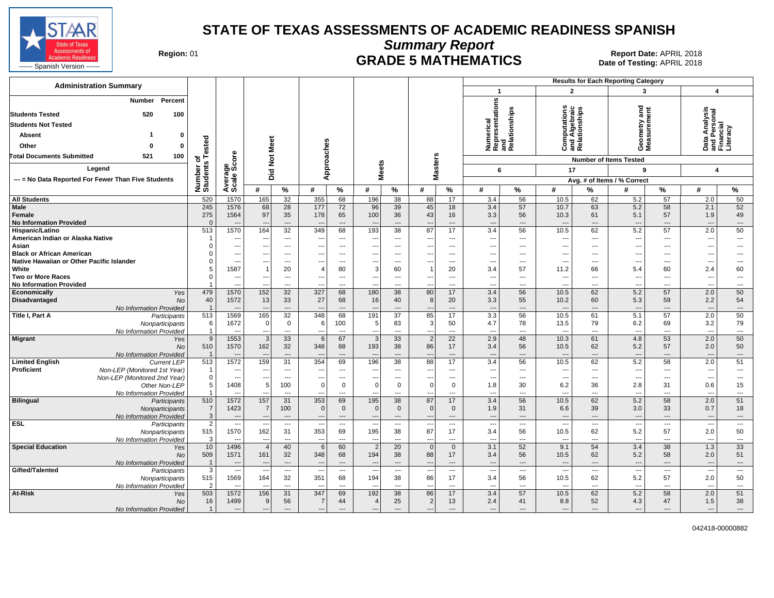

**Summary Report**

Region: 01 **Region: 01 Date: APRIL 2018**<br>Bate of Testing: APRIL 2018

| <b>Administration Summary</b>                                                 |                         |                          |                                |                            |                                 |                                |                                            |                 |                          |                                |                                                      |                          |                                                                    |                          | <b>Results for Each Reporting Category</b> |                                |                                                        |                                |
|-------------------------------------------------------------------------------|-------------------------|--------------------------|--------------------------------|----------------------------|---------------------------------|--------------------------------|--------------------------------------------|-----------------|--------------------------|--------------------------------|------------------------------------------------------|--------------------------|--------------------------------------------------------------------|--------------------------|--------------------------------------------|--------------------------------|--------------------------------------------------------|--------------------------------|
|                                                                               |                         |                          |                                |                            |                                 |                                |                                            |                 |                          |                                | $\mathbf{1}$                                         |                          | $\overline{2}$                                                     |                          | 3                                          |                                | 4                                                      |                                |
| Percent<br>Number<br><b>Students Tested</b><br>520<br>100                     |                         |                          |                                |                            |                                 |                                |                                            |                 |                          |                                | Numerical<br>Representations<br>and<br>Relationships |                          | <b>SC</b><br><b>Computations</b><br>and Algebraic<br>Relationships |                          | and<br>metry and<br>isurement              |                                | Data Analysis<br>and Personal<br>Financial<br>Literacy |                                |
| <b>Students Not Tested</b>                                                    |                         |                          |                                |                            |                                 |                                |                                            |                 |                          |                                |                                                      |                          |                                                                    |                          |                                            |                                |                                                        |                                |
| Absent<br>0                                                                   |                         |                          |                                |                            |                                 |                                |                                            |                 |                          |                                |                                                      |                          |                                                                    |                          |                                            |                                |                                                        |                                |
| Other<br>0<br>O                                                               | ested                   |                          | <b>Meet</b>                    |                            |                                 |                                |                                            |                 |                          |                                |                                                      |                          |                                                                    |                          | <b>g</b> g<br>ŏέ                           |                                |                                                        |                                |
| <b>Total Documents Submitted</b><br>521<br>100                                | ㅎ                       |                          | ă                              |                            |                                 |                                |                                            |                 |                          |                                |                                                      |                          |                                                                    |                          | <b>Number of Items Tested</b>              |                                |                                                        |                                |
| Legend                                                                        | w                       | Average<br>Scale Score   |                                |                            | Approaches                      |                                | eets                                       |                 | <b>Masters</b>           |                                | 6                                                    |                          | 17                                                                 |                          | 9                                          |                                | 4                                                      |                                |
| --- = No Data Reported For Fewer Than Five Students                           |                         |                          | Ξä                             |                            |                                 |                                | ź                                          |                 |                          |                                |                                                      |                          |                                                                    |                          | Avg. # of Items / % Correct                |                                |                                                        |                                |
|                                                                               | Number<br>Student:      |                          | #                              | $\%$                       | #                               | $\%$                           | #                                          | $\%$            | #                        | $\%$                           | #                                                    | %                        | #                                                                  | %                        | #                                          | $\%$                           | #                                                      | %                              |
| <b>All Students</b>                                                           | 520                     | 1570                     | 165                            | 32                         | 355                             | 68                             | 196                                        | $\overline{38}$ | 88                       | 17                             | 3.4                                                  | 56                       | 10.5                                                               | 62                       | 5.2                                        | 57                             | 2.0                                                    | 50                             |
| Male                                                                          | 245                     | 1576                     | 68                             | 28                         | 177                             | 72                             | 96                                         | 39              | 45                       | 18                             | 3.4                                                  | 57                       | 10.7                                                               | 63                       | 5.2                                        | 58                             | 2.1                                                    | 52                             |
| Female                                                                        | 275                     | 1564                     | 97                             | 35                         | 178                             | 65                             | 100                                        | 36              | 43                       | 16                             | 3.3                                                  | 56                       | 10.3                                                               | 61                       | 5.1                                        | 57                             | 1.9                                                    | 49                             |
| <b>No Information Provided</b>                                                | $\mathsf{C}$            |                          |                                | $---$                      |                                 | $\overline{a}$                 |                                            | ---             |                          | ---                            | $\overline{\phantom{a}}$                             | $\overline{\phantom{a}}$ | $\overline{\phantom{a}}$                                           | ---                      | $\overline{a}$                             | $---$                          | ---                                                    | ---                            |
| Hispanic/Latino                                                               | 513                     | 1570                     | 164                            | 32                         | 349                             | 68                             | 193                                        | 38              | 87                       | 17                             | 3.4                                                  | 56                       | 10.5                                                               | 62                       | 5.2                                        | 57                             | 2.0                                                    | 50                             |
| American Indian or Alaska Native                                              |                         | $---$                    | $\overline{\phantom{a}}$       | $\overline{a}$             | ---                             | $\overline{a}$                 | $\sim$                                     | ---             | $\overline{a}$           | $\overline{\phantom{a}}$       | $\overline{\phantom{a}}$                             | $\overline{a}$           | $---$                                                              | $\overline{a}$           | $\overline{a}$                             | $\overline{a}$                 | $\overline{\phantom{a}}$                               | $\overline{\phantom{a}}$       |
| Asian                                                                         | C                       | ---                      |                                | $---$                      |                                 | $---$                          |                                            | ---             | ---                      | ---                            | --                                                   | ---                      | ---                                                                | ---                      | --                                         | $---$                          | ---                                                    | ---                            |
| <b>Black or African American</b><br>Native Hawaiian or Other Pacific Islander |                         | ---<br>---               |                                | $\overline{a}$<br>$\cdots$ | --                              | ---<br>$---$                   |                                            | ---<br>---      | ---<br>---               | ---<br>---                     | ---<br>--                                            | ---<br>---               | ---<br>$---$                                                       | ---<br>---               | ---                                        | ---<br>$---$                   | ---<br>---                                             | ---<br>---                     |
| White                                                                         |                         | 1587                     |                                | 20                         | $\overline{4}$                  | 80                             | $\overline{\phantom{a}}$<br>3 <sup>1</sup> | 60              | $\mathbf{1}$             | 20                             | 3.4                                                  | 57                       | 11.2                                                               | 66                       | 5.4                                        | 60                             | 2.4                                                    | 60                             |
| <b>Two or More Races</b>                                                      |                         | ---                      | $\sim$                         | $\cdots$                   | $\overline{\phantom{a}}$        | $\hspace{0.05cm} \ldots$       | ---                                        | ---             | ---                      | ---                            | $\overline{\phantom{a}}$                             | ---                      | $\qquad \qquad \cdots$                                             | ---                      | ---                                        | $\qquad \qquad \cdots$         | $\overline{\phantom{a}}$                               | ---                            |
| <b>No Information Provided</b>                                                |                         | $---$                    |                                | $\cdots$                   | --                              | $---$                          | $\overline{\phantom{a}}$                   | ---             | ---                      | ---                            | ---                                                  | ---                      | $\ddotsc$                                                          | $---$                    | $---$                                      | $---$                          | ---                                                    | ---                            |
| Economically<br>Yes                                                           | 479                     | 1570                     | 152                            | 32                         | 327                             | 68                             | 180                                        | 38              | 80                       | 17                             | 3.4                                                  | 56                       | 10.5                                                               | 62                       | 5.2                                        | 57                             | 2.0                                                    | 50                             |
| <b>Disadvantaged</b><br><b>No</b>                                             | 40                      | 1572                     | 13                             | 33                         | 27                              | 68                             | 16                                         | 40              | 8                        | 20                             | 3.3                                                  | 55                       | 10.2                                                               | 60                       | 5.3                                        | 59                             | 2.2                                                    | 54                             |
| No Information Provided                                                       |                         |                          |                                | ---                        |                                 | $\overline{a}$                 |                                            | ---             |                          | ---                            | $\overline{\phantom{a}}$                             | $\overline{a}$           | $\overline{\phantom{a}}$                                           | $\overline{a}$           | $\overline{\phantom{a}}$                   | $\qquad \qquad \cdots$         | $\overline{\phantom{a}}$                               | ---                            |
| Title I, Part A<br>Participants                                               | 513                     | 1569                     | 165                            | 32                         | 348                             | 68                             | 191                                        | $\overline{37}$ | 85                       | 17                             | 3.3                                                  | 56                       | 10.5                                                               | 61                       | 5.1                                        | 57                             | 2.0                                                    | 50                             |
| Nonparticipants                                                               | 6                       | 1672                     | $\Omega$                       | $\mathbf 0$                | 6                               | 100                            | $5\phantom{.0}$                            | 83              | 3                        | 50                             | 4.7                                                  | 78                       | 13.5                                                               | 79                       | 6.2                                        | 69                             | 3.2                                                    | 79                             |
| No Information Provided                                                       | $\mathbf{1}$            |                          |                                | $\overline{\phantom{a}}$   | ---                             | $\overline{\phantom{a}}$       | $\overline{\phantom{a}}$                   | ---             | ---                      | ---                            | ---                                                  | ---                      | $\overline{\phantom{a}}$                                           | ---                      | $\overline{\phantom{a}}$                   | $\overline{\phantom{a}}$       | $\overline{\phantom{a}}$                               | ---                            |
| <b>Migrant</b><br>Yes                                                         | 9                       | 1553                     | $\mathcal{R}$                  | 33                         | 6                               | 67                             | 3                                          | 33              | $\overline{2}$           | 22                             | 2.9                                                  | 48                       | 10.3                                                               | 61                       | 4.8                                        | 53                             | 2.0                                                    | 50                             |
| <b>No</b>                                                                     | 510                     | 1570                     | 162                            | 32                         | 348                             | 68                             | 193                                        | 38              | 86                       | 17                             | 3.4                                                  | 56                       | 10.5                                                               | 62                       | 5.2                                        | 57                             | 2.0                                                    | 50                             |
| No Information Provided                                                       |                         |                          |                                | ---                        |                                 |                                |                                            | ---             |                          | ---                            | $\overline{\phantom{a}}$                             | ---                      | ---                                                                | $\overline{\phantom{a}}$ | $\overline{\phantom{a}}$                   | $\overline{\phantom{a}}$       | $\overline{\phantom{a}}$                               | ---                            |
| <b>Limited English</b><br><b>Current LEP</b><br><b>Proficient</b>             | 513<br>-1               | 1572<br>$\overline{a}$   | 159                            | 31<br>$\overline{a}$       | 354<br>$\overline{\phantom{a}}$ | 69<br>$\overline{a}$           | 196<br>$\overline{a}$                      | 38<br>---       | 88<br>$-$                | 17<br>$---$                    | 3.4<br>---                                           | 56<br>---                | 10.5<br>$- - -$                                                    | 62<br>$\overline{a}$     | 5.2<br>$\sim$                              | 58<br>$---$                    | 2.0                                                    | 51<br>---                      |
| Non-LEP (Monitored 1st Year)<br>Non-LEP (Monitored 2nd Year)                  | $\mathbf 0$             | ---                      | --<br>$\overline{\phantom{a}}$ | $\overline{\phantom{a}}$   | ---                             | ---                            | $\overline{\phantom{a}}$                   | ---             | ---                      | ---                            | ---                                                  | ---                      | $\overline{\phantom{a}}$                                           | $\overline{\phantom{a}}$ | $\overline{\phantom{a}}$                   | $\overline{\phantom{a}}$       | $\overline{\phantom{a}}$<br>---                        | ---                            |
| Other Non-LEP                                                                 | 5                       | 1408                     | 5                              | 100                        | $\Omega$                        | $\mathbf 0$                    | $\Omega$                                   | $\overline{0}$  | $\mathbf 0$              | $\mathbf 0$                    | 1.8                                                  | 30                       | 6.2                                                                | 36                       | 2.8                                        | 31                             | 0.6                                                    | 15                             |
| No Information Provided                                                       |                         | $\overline{a}$           | --                             | $---$                      | ---                             | $---$                          | $- -$                                      | ---             | ---                      | $\overline{a}$                 | ---                                                  | ---                      | $---$                                                              | $---$                    | $---$                                      | $---$                          | $\overline{\phantom{a}}$                               | ---                            |
| <b>Bilingual</b><br>Participants                                              | 510                     | 1572                     | 157                            | 31                         | 353                             | 69                             | 195                                        | 38              | 87                       | 17                             | 3.4                                                  | 56                       | 10.5                                                               | 62                       | 5.2                                        | 58                             | 2.0                                                    | 51                             |
| Nonparticipants                                                               | $\overline{7}$          | 1423                     |                                | 100                        | $\Omega$                        | $\mathbf 0$                    | $\mathbf 0$                                | $\mathbf 0$     | $\mathbf 0$              | $\mathbf 0$                    | 1.9                                                  | 31                       | 6.6                                                                | 39                       | 3.0                                        | 33                             | 0.7                                                    | 18                             |
| No Information Provided                                                       | 3                       | $\overline{a}$           | $\overline{\phantom{a}}$       | $---$                      | $\overline{\phantom{a}}$        | $---$                          | $\overline{\phantom{a}}$                   | ---             | $\overline{\phantom{a}}$ | $---$                          | $\overline{\phantom{a}}$                             | $\overline{\phantom{a}}$ | $---$                                                              | $---$                    | $---$                                      | $\cdots$                       | $\overline{\phantom{a}}$                               | $\hspace{0.05cm} \ldots$       |
| <b>ESL</b><br>Participants                                                    | $\overline{2}$          | $\overline{\phantom{a}}$ | ж.                             | $\cdots$                   | $\overline{\phantom{a}}$        | $\hspace{0.05cm} \ldots$       | $\overline{\phantom{a}}$                   | ---             | $\overline{\phantom{a}}$ | ---                            | $\overline{\phantom{a}}$                             | ---                      | $\qquad \qquad \cdots$                                             | $\qquad \qquad \cdots$   | $\overline{\phantom{a}}$                   | $\qquad \qquad \cdots$         | $\overline{\phantom{a}}$                               | ---                            |
| Nonparticipants                                                               | 515                     | 1570                     | 162                            | 31                         | 353                             | 69                             | 195                                        | 38              | 87                       | 17                             | 3.4                                                  | 56                       | 10.5                                                               | 62                       | 5.2                                        | 57                             | 2.0                                                    | 50                             |
| No Information Provided                                                       | 3                       | $\ddotsc$                | $\overline{\phantom{a}}$       | $\overline{\phantom{a}}$   | $\sim$                          | ---                            | $\sim$                                     | ---             | $\sim$                   | ---                            | ---                                                  | ---                      | $---$                                                              | $\overline{\phantom{a}}$ | $\overline{\phantom{a}}$                   | $\overline{\phantom{a}}$       | $\overline{\phantom{a}}$                               | $\ldots$                       |
| <b>Special Education</b><br>Yes                                               | 10                      | 1496                     |                                | 40                         | 6                               | 60                             | $\overline{2}$                             | $\overline{20}$ | $\overline{0}$           | $\overline{0}$                 | 3.1                                                  | 52                       | 9.1                                                                | 54                       | 3.4                                        | 38                             | 1.3                                                    | 33                             |
| <b>No</b>                                                                     | 509                     | 1571                     | 161                            | 32                         | 348                             | 68                             | 194                                        | 38              | 88                       | 17                             | 3.4                                                  | 56                       | 10.5                                                               | 62                       | 5.2                                        | 58                             | 2.0                                                    | 51                             |
| No Information Provided                                                       | $\overline{\mathbf{1}}$ | $\overline{a}$           | <b>.</b>                       | $\overline{a}$             | ---                             | $\overline{\phantom{a}}$       | $\overline{\phantom{a}}$                   | ---             | $\overline{\phantom{a}}$ | $---$                          | $\overline{\phantom{a}}$                             | $\overline{\phantom{a}}$ | $---$                                                              | $\overline{a}$           | $---$                                      | $---$                          | $\overline{a}$                                         | $\cdots$                       |
| Gifted/Talented<br>Participants                                               | 3                       | $\overline{\phantom{a}}$ | $\overline{\phantom{a}}$       | $\cdots$                   | $\overline{\phantom{a}}$        | $\hspace{0.05cm} \ldots$       | $\overline{\phantom{a}}$                   | ---             | $\overline{\phantom{a}}$ | $\hspace{0.05cm} \ldots$       | $\overline{\phantom{a}}$                             | ---                      | $\cdots$                                                           | $\qquad \qquad \cdots$   | $\ddotsc$                                  | $\scriptstyle\cdots$           | $\overline{\phantom{a}}$                               | $\cdots$                       |
| Nonparticipants                                                               | 515<br>$\overline{2}$   | 1569<br>$\sim$           | 164                            | 32<br>---                  | 351                             | 68<br>$\overline{\phantom{a}}$ | 194                                        | 38<br>---       | 86                       | 17<br>$\overline{\phantom{a}}$ | 3.4<br>---                                           | 56<br>---                | 10.5<br>$\overline{\phantom{a}}$                                   | 62<br>$---$              | 5.2<br>$\overline{\phantom{a}}$            | 57<br>$\overline{\phantom{a}}$ | 2.0                                                    | 50<br>$\overline{\phantom{a}}$ |
| No Information Provided<br>At-Risk<br>Yes                                     | 503                     | 1572                     | --<br>156                      | 31                         | $\sim$<br>347                   | 69                             | $\overline{\phantom{a}}$<br>192            | 38              | ---<br>86                | 17                             | 3.4                                                  | 57                       | 10.5                                                               | 62                       | 5.2                                        | 58                             | ---<br>2.0                                             | 51                             |
| No                                                                            | 16                      | 1499                     | 9                              | 56                         | $\overline{7}$                  | 44                             | 4                                          | 25              | $\overline{2}$           | 13                             | 2.4                                                  | 41                       | 8.8                                                                | 52                       | 4.3                                        | 47                             | 1.5                                                    | 38                             |
| No Information Provided                                                       | $\overline{1}$          | $\overline{\phantom{a}}$ |                                | $\cdots$                   | $\overline{\phantom{a}}$        | $\overline{\phantom{a}}$       |                                            | ---             | $\overline{\phantom{a}}$ | ---                            | $\overline{\phantom{a}}$                             | ---                      | $\overline{\phantom{a}}$                                           | ---                      | $\overline{\phantom{a}}$                   | $\overline{\phantom{a}}$       | ---                                                    | ---                            |
|                                                                               |                         |                          |                                |                            |                                 |                                |                                            |                 |                          |                                |                                                      |                          |                                                                    |                          |                                            |                                |                                                        |                                |

042418-00000882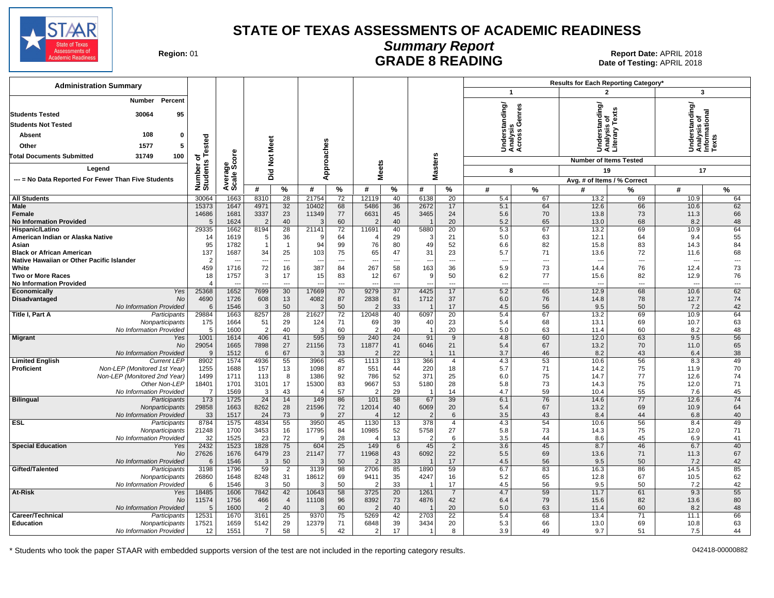

# **Summary Report**

Region: 01 **Region: 01 CONTRIGGLARGE 8 READING Report Date: APRIL 2018**<br>Date of Testing: APRIL 2018 Date of Testing: APRIL 2018

| $\overline{\mathbf{3}}$<br>$\mathbf{1}$<br>$\mathbf{2}$<br>Percent<br><b>Number</b><br>Understanding/<br>Analysis<br>Across Genres<br>Understanding/<br>Analysis of<br>Informational<br>Texts<br>rrstanding/<br>ysis of<br>y.<br>95<br><b>Students Tested</b><br>30064<br><b>Students Not Tested</b><br>2<br>108<br>$\mathbf 0$<br>Absent<br>Number of<br>Students Tested<br>Under<br>Analys<br>Literal<br>Not Meet<br>Approaches<br>Other<br>1577<br>5<br><b>ore</b><br><b>Masters</b><br>31749<br><b>Total Documents Submitted</b><br>100<br><b>Number of Items Tested</b><br><b>Meets</b><br>န္တပ္ကိ<br>Legend<br>17<br>8<br>19<br>Бid<br>Average<br>--- = No Data Reported For Fewer Than Five Students<br>Avg. # of Items / % Correct<br>#<br>%<br>#<br>%<br>#<br>%<br>#<br>%<br>%<br>$\%$<br>#<br>#<br>#<br>%<br>30064<br>28<br>21754<br>72<br>12119<br>40<br>20<br>64<br>1663<br>8310<br>6138<br>5.4<br>67<br>13.2<br>69<br>10.9<br><b>All Students</b><br>62<br>Male<br>15373<br>1647<br>4971<br>32<br>10402<br>5486<br>36<br>2672<br>17<br>5.1<br>64<br>12.6<br>66<br>68<br>10.6<br>23<br>14686<br>1681<br>11349<br>77<br>3465<br>70<br>73<br>66<br>Female<br>3337<br>6631<br>45<br>24<br>5.6<br>13.8<br>11.3<br>60<br>68<br>48<br><b>No Information Provided</b><br>5<br>1624<br>$\overline{2}$<br>40<br>40<br>20<br>5.2<br>65<br>13.0<br>8.2<br>28<br>21141<br>72<br>5.3<br>64<br>29335<br>1662<br>8194<br>11691<br>40<br>5880<br>20<br>67<br>13.2<br>69<br>10.9<br>Hispanic/Latino<br>55<br>36<br>5.0<br>63<br>American Indian or Alaska Native<br>14<br>1619<br>-5<br><b>S</b><br>64<br>29<br>-3<br>21<br>12.1<br>64<br>9.4<br>95<br>94<br>76<br>49<br>82<br>84<br>1782<br>$\overline{1}$<br>$\overline{1}$<br>99<br>80<br>52<br>6.6<br>15.8<br>83<br>14.3<br>Asian<br>137<br>1687<br>34<br>25<br>75<br>65<br>31<br>23<br>71<br>72<br>68<br><b>Black or African American</b><br>103<br>47<br>5.7<br>13.6<br>11.6<br>Native Hawaiian or Other Pacific Islander<br>$\overline{2}$<br>$\qquad \qquad \cdots$<br>$\overline{\phantom{a}}$<br>---<br>$\overline{\phantom{a}}$<br>$\sim$<br>$\overline{\phantom{a}}$<br>---<br>$\sim$<br>---<br>$---$<br>$\sim$<br>$---$<br>$\overline{\phantom{a}}$<br>$\sim$<br>459<br>1716<br>72<br>387<br>267<br>163<br>73<br>73<br>16<br>84<br>58<br>36<br>5.9<br>76<br>12.4<br>White<br>14.4<br>18<br>3<br>76<br><b>Two or More Races</b><br>1757<br>17<br>15<br>83<br>12<br>67<br>g<br>50<br>6.2<br>77<br>15.6<br>82<br>12.9<br><b>No Information Provided</b><br>$\overline{4}$<br>$\overline{\phantom{a}}$<br>$\overline{\phantom{a}}$<br>$\overline{a}$<br>$\sim$<br>$\overline{\phantom{a}}$<br>$\overline{\phantom{a}}$<br>$\overline{a}$<br>$\overline{\phantom{a}}$<br>$\overline{a}$<br>$---$<br>$\overline{a}$<br>---<br>$\overline{a}$<br>$---$<br>$\overline{a}$<br>1652<br>30<br>9279<br>$\overline{37}$<br>4425<br>17<br>5.2<br>62<br>Yes<br>25368<br>7699<br>17669<br>70<br>65<br>12.9<br>68<br>10.6<br>Economically<br>Disadvantaged<br>No<br>4690<br>1726<br>608<br>13<br>4082<br>87<br>2838<br>61<br>1712<br>37<br>6.0<br>76<br>14.8<br>78<br>12.7<br>74<br>50<br>33<br>17<br>50<br>42<br>No Information Provided<br>1546<br>3<br>50<br>÷<br>4.5<br>56<br>9.5<br>7.2<br>6<br>29884<br>8257<br>28<br>21627<br>72<br>12048<br>40<br>6097<br>20<br>5.4<br>67<br>69<br>10.9<br>64<br>Title I, Part A<br>1663<br>13.2<br>Participants<br>63<br>175<br>1664<br>51<br>29<br>71<br>69<br>39<br>40<br>23<br>5.4<br>68<br>69<br>Nonparticipants<br>124<br>13.1<br>10.7<br>60<br>48<br>1600<br>$\overline{2}$<br>40<br>$\mathcal{P}$<br>40<br>20<br>5.0<br>63<br>60<br>No Information Provided<br>5<br>-3<br>$\overline{1}$<br>11.4<br>8.2<br>1001<br>406<br>595<br>59<br>240<br>24<br>91<br>4.8<br>60<br>12.0<br>63<br>9.5<br>56<br>1614<br>41<br>9<br><b>Migrant</b><br>Yes<br>21156<br>65<br>29054<br>1665<br>7898<br>27<br>73<br>11877<br>41<br>6046<br>21<br>5.4<br>67<br>70<br><b>No</b><br>13.2<br>11.0<br>67<br>22<br>9<br>1512<br>33<br>3.7<br>46<br>8.2<br>43<br>6.4<br>38<br>No Information Provided<br>6<br>÷<br>11<br>- 1<br>55<br>53<br>56<br>49<br>8902<br>1574<br>4936<br>3966<br>45<br>1113<br>13<br>366<br>4.3<br>10.6<br>8.3<br><b>Limited English</b><br><b>Current LEP</b><br>4<br><b>Proficient</b><br>Non-LEP (Monitored 1st Year)<br>13<br>220<br>5.7<br>71<br>75<br>70<br>1255<br>1688<br>157<br>1098<br>87<br>551<br>44<br>18<br>14.2<br>11.9<br>52<br>371<br>75<br>77<br>74<br>Non-LEP (Monitored 2nd Year)<br>1499<br>1711<br>113<br>8<br>1386<br>92<br>786<br>25<br>6.0<br>14.7<br>12.6<br>17<br>15300<br>83<br>9667<br>53<br>5180<br>73<br>75<br>71<br>Other Non-LEP<br>18401<br>1701<br>3101<br>28<br>5.8<br>14.3<br>12.0<br>45<br>43<br>57<br>29<br>59<br>55<br>No Information Provided<br>$\overline{7}$<br>1569<br>3<br>14<br>4.7<br>10.4<br>7.6<br>$\sqrt{2}$<br>-2<br>$\overline{1}$<br>67<br>173<br>24<br>149<br>58<br>39<br>76<br>77<br>12.6<br>74<br><b>Bilingual</b><br>1725<br>14<br>86<br>101<br>6.1<br>14.6<br>Participants<br>29858<br>1663<br>8262<br>28<br>21596<br>72<br>12014<br>40<br>6069<br>20<br>5.4<br>67<br>13.2<br>69<br>10.9<br>64<br>Nonparticipants<br>27<br>No Information Provided<br>33<br>1517<br>24<br>73<br>12<br>3.5<br>43<br>8.4<br>44<br>6.8<br>40<br>ç<br>$\overline{2}$<br>6<br>8784<br>4834<br>55<br>3950<br>13<br>54<br>56<br>49<br><b>ESL</b><br>1575<br>45<br>1130<br>378<br>$\overline{4}$<br>4.3<br>10.6<br>8.4<br>Participants<br>21248<br>16<br>17795<br>52<br>5758<br>27<br>5.8<br>73<br>1700<br>3453<br>84<br>10985<br>14.3<br>75<br>12.0<br>71<br>Nonparticipants<br>32<br>72<br>28<br>13<br>No Information Provided<br>1525<br>23<br>$\overline{2}$<br>6<br>3.5<br>44<br>8.6<br>45<br>6.9<br>41<br>. ç<br>2432<br>75<br>604<br>25<br>149<br>3.6<br>45<br>46<br>40<br><b>Special Education</b><br>1523<br>1828<br>6<br>45<br>$\overline{2}$<br>8.7<br>6.7<br>Yes<br>27626<br>1676<br>6479<br>23<br>21147<br>77<br>11968<br>43<br>6092<br>22<br>5.5<br>69<br>71<br>67<br>No<br>13.6<br>11.3<br>50<br>No Information Provided<br>1546<br>3<br>50<br>33<br>17<br>4.5<br>56<br>9.5<br>50<br>7.2<br>42<br>6<br>2<br>- 1<br>Gifted/Talented<br>3198<br>1796<br>59<br>$\overline{2}$<br>3139<br>98<br>2706<br>85<br>1890<br>59<br>6.7<br>83<br>16.3<br>86<br>14.5<br>85<br>Participants<br>26860<br>1648<br>8248<br>31<br>18612<br>69<br>35<br>4247<br>16<br>5.2<br>65<br>12.8<br>67<br>10.5<br>62<br>Nonparticipants<br>9411<br>1546<br>3<br>50<br>50<br>2<br>33<br>17<br>4.5<br>56<br>9.5<br>50<br>7.2<br>42<br>No Information Provided<br>6<br>ſ.<br>At-Risk<br>18485<br>1606<br>7842<br>42<br>10643<br>58<br>3725<br>20<br>1261<br>$\overline{7}$<br>4.7<br>59<br>11.7<br>61<br>9.3<br>55<br>Yes<br>466<br>8392<br>4876<br>42<br>79<br>82<br>80<br>11574<br>1756<br>11108<br>96<br>73<br>6.4<br>15.6<br>13.6<br>No<br>$\overline{4}$<br>60<br>1600<br>$\overline{2}$<br>40<br>40<br>20<br>5.0<br>63<br>60<br>48<br>No Information Provided<br>$\overline{2}$<br>11.4<br>8.2<br>5<br>÷<br>- 1<br>12531<br>25<br>9370<br>5269<br>42<br>2703<br>$\overline{22}$<br>5.4<br>68<br>13.4<br>$\overline{71}$<br>66<br>Career/Technical<br>1670<br>3161<br>75<br>11.1<br>Participants<br>29<br>63<br><b>Education</b><br>17521<br>1659<br>5142<br>12379<br>71<br>6848<br>39<br>3434<br>20<br>5.3<br>66<br>13.0<br>69<br>Nonparticipants<br>10.8<br>58<br>42<br>12<br>1551<br>$\overline{7}$<br>$\overline{2}$<br>17<br>44<br>No Information Provided<br>8<br>3.9<br>49<br>9.7<br>51<br>7.5<br>5<br>$\overline{1}$ | <b>Administration Summary</b> |  |  |  |  |  | Results for Each Reporting Category' |  |  |  |  |  |
|-------------------------------------------------------------------------------------------------------------------------------------------------------------------------------------------------------------------------------------------------------------------------------------------------------------------------------------------------------------------------------------------------------------------------------------------------------------------------------------------------------------------------------------------------------------------------------------------------------------------------------------------------------------------------------------------------------------------------------------------------------------------------------------------------------------------------------------------------------------------------------------------------------------------------------------------------------------------------------------------------------------------------------------------------------------------------------------------------------------------------------------------------------------------------------------------------------------------------------------------------------------------------------------------------------------------------------------------------------------------------------------------------------------------------------------------------------------------------------------------------------------------------------------------------------------------------------------------------------------------------------------------------------------------------------------------------------------------------------------------------------------------------------------------------------------------------------------------------------------------------------------------------------------------------------------------------------------------------------------------------------------------------------------------------------------------------------------------------------------------------------------------------------------------------------------------------------------------------------------------------------------------------------------------------------------------------------------------------------------------------------------------------------------------------------------------------------------------------------------------------------------------------------------------------------------------------------------------------------------------------------------------------------------------------------------------------------------------------------------------------------------------------------------------------------------------------------------------------------------------------------------------------------------------------------------------------------------------------------------------------------------------------------------------------------------------------------------------------------------------------------------------------------------------------------------------------------------------------------------------------------------------------------------------------------------------------------------------------------------------------------------------------------------------------------------------------------------------------------------------------------------------------------------------------------------------------------------------------------------------------------------------------------------------------------------------------------------------------------------------------------------------------------------------------------------------------------------------------------------------------------------------------------------------------------------------------------------------------------------------------------------------------------------------------------------------------------------------------------------------------------------------------------------------------------------------------------------------------------------------------------------------------------------------------------------------------------------------------------------------------------------------------------------------------------------------------------------------------------------------------------------------------------------------------------------------------------------------------------------------------------------------------------------------------------------------------------------------------------------------------------------------------------------------------------------------------------------------------------------------------------------------------------------------------------------------------------------------------------------------------------------------------------------------------------------------------------------------------------------------------------------------------------------------------------------------------------------------------------------------------------------------------------------------------------------------------------------------------------------------------------------------------------------------------------------------------------------------------------------------------------------------------------------------------------------------------------------------------------------------------------------------------------------------------------------------------------------------------------------------------------------------------------------------------------------------------------------------------------------------------------------------------------------------------------------------------------------------------------------------------------------------------------------------------------------------------------------------------------------------------------------------------------------------------------------------------------------------------------------------------------------------------------------------------------------------------------------------------------------------------------------------------------------------------------------------------------------------------------------------------------------------------------------------------------------------------------------------------------------------------------------------------------------------------------------------------------------------------------------------------------------------------------------------------------------------------------------------------------------------------------------------------------------------------------------------------------------------------------------------------------------------------------------------------------------------------------------------------------------------------------------------------------------------------------------------------------------------------------------------------------------------------------------------------------------------------------------------------------------------------------------------------------------------------------------------------------------------------------------------------------------------------------------------|-------------------------------|--|--|--|--|--|--------------------------------------|--|--|--|--|--|
|                                                                                                                                                                                                                                                                                                                                                                                                                                                                                                                                                                                                                                                                                                                                                                                                                                                                                                                                                                                                                                                                                                                                                                                                                                                                                                                                                                                                                                                                                                                                                                                                                                                                                                                                                                                                                                                                                                                                                                                                                                                                                                                                                                                                                                                                                                                                                                                                                                                                                                                                                                                                                                                                                                                                                                                                                                                                                                                                                                                                                                                                                                                                                                                                                                                                                                                                                                                                                                                                                                                                                                                                                                                                                                                                                                                                                                                                                                                                                                                                                                                                                                                                                                                                                                                                                                                                                                                                                                                                                                                                                                                                                                                                                                                                                                                                                                                                                                                                                                                                                                                                                                                                                                                                                                                                                                                                                                                                                                                                                                                                                                                                                                                                                                                                                                                                                                                                                                                                                                                                                                                                                                                                                                                                                                                                                                                                                                                                                                                                                                                                                                                                                                                                                                                                                                                                                                                                                                                                                                                                                                                                                                                                                                                                                                                                                                                                                                                                                                                                                                                                           |                               |  |  |  |  |  |                                      |  |  |  |  |  |
|                                                                                                                                                                                                                                                                                                                                                                                                                                                                                                                                                                                                                                                                                                                                                                                                                                                                                                                                                                                                                                                                                                                                                                                                                                                                                                                                                                                                                                                                                                                                                                                                                                                                                                                                                                                                                                                                                                                                                                                                                                                                                                                                                                                                                                                                                                                                                                                                                                                                                                                                                                                                                                                                                                                                                                                                                                                                                                                                                                                                                                                                                                                                                                                                                                                                                                                                                                                                                                                                                                                                                                                                                                                                                                                                                                                                                                                                                                                                                                                                                                                                                                                                                                                                                                                                                                                                                                                                                                                                                                                                                                                                                                                                                                                                                                                                                                                                                                                                                                                                                                                                                                                                                                                                                                                                                                                                                                                                                                                                                                                                                                                                                                                                                                                                                                                                                                                                                                                                                                                                                                                                                                                                                                                                                                                                                                                                                                                                                                                                                                                                                                                                                                                                                                                                                                                                                                                                                                                                                                                                                                                                                                                                                                                                                                                                                                                                                                                                                                                                                                                                           |                               |  |  |  |  |  |                                      |  |  |  |  |  |
|                                                                                                                                                                                                                                                                                                                                                                                                                                                                                                                                                                                                                                                                                                                                                                                                                                                                                                                                                                                                                                                                                                                                                                                                                                                                                                                                                                                                                                                                                                                                                                                                                                                                                                                                                                                                                                                                                                                                                                                                                                                                                                                                                                                                                                                                                                                                                                                                                                                                                                                                                                                                                                                                                                                                                                                                                                                                                                                                                                                                                                                                                                                                                                                                                                                                                                                                                                                                                                                                                                                                                                                                                                                                                                                                                                                                                                                                                                                                                                                                                                                                                                                                                                                                                                                                                                                                                                                                                                                                                                                                                                                                                                                                                                                                                                                                                                                                                                                                                                                                                                                                                                                                                                                                                                                                                                                                                                                                                                                                                                                                                                                                                                                                                                                                                                                                                                                                                                                                                                                                                                                                                                                                                                                                                                                                                                                                                                                                                                                                                                                                                                                                                                                                                                                                                                                                                                                                                                                                                                                                                                                                                                                                                                                                                                                                                                                                                                                                                                                                                                                                           |                               |  |  |  |  |  |                                      |  |  |  |  |  |
|                                                                                                                                                                                                                                                                                                                                                                                                                                                                                                                                                                                                                                                                                                                                                                                                                                                                                                                                                                                                                                                                                                                                                                                                                                                                                                                                                                                                                                                                                                                                                                                                                                                                                                                                                                                                                                                                                                                                                                                                                                                                                                                                                                                                                                                                                                                                                                                                                                                                                                                                                                                                                                                                                                                                                                                                                                                                                                                                                                                                                                                                                                                                                                                                                                                                                                                                                                                                                                                                                                                                                                                                                                                                                                                                                                                                                                                                                                                                                                                                                                                                                                                                                                                                                                                                                                                                                                                                                                                                                                                                                                                                                                                                                                                                                                                                                                                                                                                                                                                                                                                                                                                                                                                                                                                                                                                                                                                                                                                                                                                                                                                                                                                                                                                                                                                                                                                                                                                                                                                                                                                                                                                                                                                                                                                                                                                                                                                                                                                                                                                                                                                                                                                                                                                                                                                                                                                                                                                                                                                                                                                                                                                                                                                                                                                                                                                                                                                                                                                                                                                                           |                               |  |  |  |  |  |                                      |  |  |  |  |  |
|                                                                                                                                                                                                                                                                                                                                                                                                                                                                                                                                                                                                                                                                                                                                                                                                                                                                                                                                                                                                                                                                                                                                                                                                                                                                                                                                                                                                                                                                                                                                                                                                                                                                                                                                                                                                                                                                                                                                                                                                                                                                                                                                                                                                                                                                                                                                                                                                                                                                                                                                                                                                                                                                                                                                                                                                                                                                                                                                                                                                                                                                                                                                                                                                                                                                                                                                                                                                                                                                                                                                                                                                                                                                                                                                                                                                                                                                                                                                                                                                                                                                                                                                                                                                                                                                                                                                                                                                                                                                                                                                                                                                                                                                                                                                                                                                                                                                                                                                                                                                                                                                                                                                                                                                                                                                                                                                                                                                                                                                                                                                                                                                                                                                                                                                                                                                                                                                                                                                                                                                                                                                                                                                                                                                                                                                                                                                                                                                                                                                                                                                                                                                                                                                                                                                                                                                                                                                                                                                                                                                                                                                                                                                                                                                                                                                                                                                                                                                                                                                                                                                           |                               |  |  |  |  |  |                                      |  |  |  |  |  |
|                                                                                                                                                                                                                                                                                                                                                                                                                                                                                                                                                                                                                                                                                                                                                                                                                                                                                                                                                                                                                                                                                                                                                                                                                                                                                                                                                                                                                                                                                                                                                                                                                                                                                                                                                                                                                                                                                                                                                                                                                                                                                                                                                                                                                                                                                                                                                                                                                                                                                                                                                                                                                                                                                                                                                                                                                                                                                                                                                                                                                                                                                                                                                                                                                                                                                                                                                                                                                                                                                                                                                                                                                                                                                                                                                                                                                                                                                                                                                                                                                                                                                                                                                                                                                                                                                                                                                                                                                                                                                                                                                                                                                                                                                                                                                                                                                                                                                                                                                                                                                                                                                                                                                                                                                                                                                                                                                                                                                                                                                                                                                                                                                                                                                                                                                                                                                                                                                                                                                                                                                                                                                                                                                                                                                                                                                                                                                                                                                                                                                                                                                                                                                                                                                                                                                                                                                                                                                                                                                                                                                                                                                                                                                                                                                                                                                                                                                                                                                                                                                                                                           |                               |  |  |  |  |  |                                      |  |  |  |  |  |
|                                                                                                                                                                                                                                                                                                                                                                                                                                                                                                                                                                                                                                                                                                                                                                                                                                                                                                                                                                                                                                                                                                                                                                                                                                                                                                                                                                                                                                                                                                                                                                                                                                                                                                                                                                                                                                                                                                                                                                                                                                                                                                                                                                                                                                                                                                                                                                                                                                                                                                                                                                                                                                                                                                                                                                                                                                                                                                                                                                                                                                                                                                                                                                                                                                                                                                                                                                                                                                                                                                                                                                                                                                                                                                                                                                                                                                                                                                                                                                                                                                                                                                                                                                                                                                                                                                                                                                                                                                                                                                                                                                                                                                                                                                                                                                                                                                                                                                                                                                                                                                                                                                                                                                                                                                                                                                                                                                                                                                                                                                                                                                                                                                                                                                                                                                                                                                                                                                                                                                                                                                                                                                                                                                                                                                                                                                                                                                                                                                                                                                                                                                                                                                                                                                                                                                                                                                                                                                                                                                                                                                                                                                                                                                                                                                                                                                                                                                                                                                                                                                                                           |                               |  |  |  |  |  |                                      |  |  |  |  |  |
|                                                                                                                                                                                                                                                                                                                                                                                                                                                                                                                                                                                                                                                                                                                                                                                                                                                                                                                                                                                                                                                                                                                                                                                                                                                                                                                                                                                                                                                                                                                                                                                                                                                                                                                                                                                                                                                                                                                                                                                                                                                                                                                                                                                                                                                                                                                                                                                                                                                                                                                                                                                                                                                                                                                                                                                                                                                                                                                                                                                                                                                                                                                                                                                                                                                                                                                                                                                                                                                                                                                                                                                                                                                                                                                                                                                                                                                                                                                                                                                                                                                                                                                                                                                                                                                                                                                                                                                                                                                                                                                                                                                                                                                                                                                                                                                                                                                                                                                                                                                                                                                                                                                                                                                                                                                                                                                                                                                                                                                                                                                                                                                                                                                                                                                                                                                                                                                                                                                                                                                                                                                                                                                                                                                                                                                                                                                                                                                                                                                                                                                                                                                                                                                                                                                                                                                                                                                                                                                                                                                                                                                                                                                                                                                                                                                                                                                                                                                                                                                                                                                                           |                               |  |  |  |  |  |                                      |  |  |  |  |  |
|                                                                                                                                                                                                                                                                                                                                                                                                                                                                                                                                                                                                                                                                                                                                                                                                                                                                                                                                                                                                                                                                                                                                                                                                                                                                                                                                                                                                                                                                                                                                                                                                                                                                                                                                                                                                                                                                                                                                                                                                                                                                                                                                                                                                                                                                                                                                                                                                                                                                                                                                                                                                                                                                                                                                                                                                                                                                                                                                                                                                                                                                                                                                                                                                                                                                                                                                                                                                                                                                                                                                                                                                                                                                                                                                                                                                                                                                                                                                                                                                                                                                                                                                                                                                                                                                                                                                                                                                                                                                                                                                                                                                                                                                                                                                                                                                                                                                                                                                                                                                                                                                                                                                                                                                                                                                                                                                                                                                                                                                                                                                                                                                                                                                                                                                                                                                                                                                                                                                                                                                                                                                                                                                                                                                                                                                                                                                                                                                                                                                                                                                                                                                                                                                                                                                                                                                                                                                                                                                                                                                                                                                                                                                                                                                                                                                                                                                                                                                                                                                                                                                           |                               |  |  |  |  |  |                                      |  |  |  |  |  |
|                                                                                                                                                                                                                                                                                                                                                                                                                                                                                                                                                                                                                                                                                                                                                                                                                                                                                                                                                                                                                                                                                                                                                                                                                                                                                                                                                                                                                                                                                                                                                                                                                                                                                                                                                                                                                                                                                                                                                                                                                                                                                                                                                                                                                                                                                                                                                                                                                                                                                                                                                                                                                                                                                                                                                                                                                                                                                                                                                                                                                                                                                                                                                                                                                                                                                                                                                                                                                                                                                                                                                                                                                                                                                                                                                                                                                                                                                                                                                                                                                                                                                                                                                                                                                                                                                                                                                                                                                                                                                                                                                                                                                                                                                                                                                                                                                                                                                                                                                                                                                                                                                                                                                                                                                                                                                                                                                                                                                                                                                                                                                                                                                                                                                                                                                                                                                                                                                                                                                                                                                                                                                                                                                                                                                                                                                                                                                                                                                                                                                                                                                                                                                                                                                                                                                                                                                                                                                                                                                                                                                                                                                                                                                                                                                                                                                                                                                                                                                                                                                                                                           |                               |  |  |  |  |  |                                      |  |  |  |  |  |
|                                                                                                                                                                                                                                                                                                                                                                                                                                                                                                                                                                                                                                                                                                                                                                                                                                                                                                                                                                                                                                                                                                                                                                                                                                                                                                                                                                                                                                                                                                                                                                                                                                                                                                                                                                                                                                                                                                                                                                                                                                                                                                                                                                                                                                                                                                                                                                                                                                                                                                                                                                                                                                                                                                                                                                                                                                                                                                                                                                                                                                                                                                                                                                                                                                                                                                                                                                                                                                                                                                                                                                                                                                                                                                                                                                                                                                                                                                                                                                                                                                                                                                                                                                                                                                                                                                                                                                                                                                                                                                                                                                                                                                                                                                                                                                                                                                                                                                                                                                                                                                                                                                                                                                                                                                                                                                                                                                                                                                                                                                                                                                                                                                                                                                                                                                                                                                                                                                                                                                                                                                                                                                                                                                                                                                                                                                                                                                                                                                                                                                                                                                                                                                                                                                                                                                                                                                                                                                                                                                                                                                                                                                                                                                                                                                                                                                                                                                                                                                                                                                                                           |                               |  |  |  |  |  |                                      |  |  |  |  |  |
|                                                                                                                                                                                                                                                                                                                                                                                                                                                                                                                                                                                                                                                                                                                                                                                                                                                                                                                                                                                                                                                                                                                                                                                                                                                                                                                                                                                                                                                                                                                                                                                                                                                                                                                                                                                                                                                                                                                                                                                                                                                                                                                                                                                                                                                                                                                                                                                                                                                                                                                                                                                                                                                                                                                                                                                                                                                                                                                                                                                                                                                                                                                                                                                                                                                                                                                                                                                                                                                                                                                                                                                                                                                                                                                                                                                                                                                                                                                                                                                                                                                                                                                                                                                                                                                                                                                                                                                                                                                                                                                                                                                                                                                                                                                                                                                                                                                                                                                                                                                                                                                                                                                                                                                                                                                                                                                                                                                                                                                                                                                                                                                                                                                                                                                                                                                                                                                                                                                                                                                                                                                                                                                                                                                                                                                                                                                                                                                                                                                                                                                                                                                                                                                                                                                                                                                                                                                                                                                                                                                                                                                                                                                                                                                                                                                                                                                                                                                                                                                                                                                                           |                               |  |  |  |  |  |                                      |  |  |  |  |  |
|                                                                                                                                                                                                                                                                                                                                                                                                                                                                                                                                                                                                                                                                                                                                                                                                                                                                                                                                                                                                                                                                                                                                                                                                                                                                                                                                                                                                                                                                                                                                                                                                                                                                                                                                                                                                                                                                                                                                                                                                                                                                                                                                                                                                                                                                                                                                                                                                                                                                                                                                                                                                                                                                                                                                                                                                                                                                                                                                                                                                                                                                                                                                                                                                                                                                                                                                                                                                                                                                                                                                                                                                                                                                                                                                                                                                                                                                                                                                                                                                                                                                                                                                                                                                                                                                                                                                                                                                                                                                                                                                                                                                                                                                                                                                                                                                                                                                                                                                                                                                                                                                                                                                                                                                                                                                                                                                                                                                                                                                                                                                                                                                                                                                                                                                                                                                                                                                                                                                                                                                                                                                                                                                                                                                                                                                                                                                                                                                                                                                                                                                                                                                                                                                                                                                                                                                                                                                                                                                                                                                                                                                                                                                                                                                                                                                                                                                                                                                                                                                                                                                           |                               |  |  |  |  |  |                                      |  |  |  |  |  |
|                                                                                                                                                                                                                                                                                                                                                                                                                                                                                                                                                                                                                                                                                                                                                                                                                                                                                                                                                                                                                                                                                                                                                                                                                                                                                                                                                                                                                                                                                                                                                                                                                                                                                                                                                                                                                                                                                                                                                                                                                                                                                                                                                                                                                                                                                                                                                                                                                                                                                                                                                                                                                                                                                                                                                                                                                                                                                                                                                                                                                                                                                                                                                                                                                                                                                                                                                                                                                                                                                                                                                                                                                                                                                                                                                                                                                                                                                                                                                                                                                                                                                                                                                                                                                                                                                                                                                                                                                                                                                                                                                                                                                                                                                                                                                                                                                                                                                                                                                                                                                                                                                                                                                                                                                                                                                                                                                                                                                                                                                                                                                                                                                                                                                                                                                                                                                                                                                                                                                                                                                                                                                                                                                                                                                                                                                                                                                                                                                                                                                                                                                                                                                                                                                                                                                                                                                                                                                                                                                                                                                                                                                                                                                                                                                                                                                                                                                                                                                                                                                                                                           |                               |  |  |  |  |  |                                      |  |  |  |  |  |
|                                                                                                                                                                                                                                                                                                                                                                                                                                                                                                                                                                                                                                                                                                                                                                                                                                                                                                                                                                                                                                                                                                                                                                                                                                                                                                                                                                                                                                                                                                                                                                                                                                                                                                                                                                                                                                                                                                                                                                                                                                                                                                                                                                                                                                                                                                                                                                                                                                                                                                                                                                                                                                                                                                                                                                                                                                                                                                                                                                                                                                                                                                                                                                                                                                                                                                                                                                                                                                                                                                                                                                                                                                                                                                                                                                                                                                                                                                                                                                                                                                                                                                                                                                                                                                                                                                                                                                                                                                                                                                                                                                                                                                                                                                                                                                                                                                                                                                                                                                                                                                                                                                                                                                                                                                                                                                                                                                                                                                                                                                                                                                                                                                                                                                                                                                                                                                                                                                                                                                                                                                                                                                                                                                                                                                                                                                                                                                                                                                                                                                                                                                                                                                                                                                                                                                                                                                                                                                                                                                                                                                                                                                                                                                                                                                                                                                                                                                                                                                                                                                                                           |                               |  |  |  |  |  |                                      |  |  |  |  |  |
|                                                                                                                                                                                                                                                                                                                                                                                                                                                                                                                                                                                                                                                                                                                                                                                                                                                                                                                                                                                                                                                                                                                                                                                                                                                                                                                                                                                                                                                                                                                                                                                                                                                                                                                                                                                                                                                                                                                                                                                                                                                                                                                                                                                                                                                                                                                                                                                                                                                                                                                                                                                                                                                                                                                                                                                                                                                                                                                                                                                                                                                                                                                                                                                                                                                                                                                                                                                                                                                                                                                                                                                                                                                                                                                                                                                                                                                                                                                                                                                                                                                                                                                                                                                                                                                                                                                                                                                                                                                                                                                                                                                                                                                                                                                                                                                                                                                                                                                                                                                                                                                                                                                                                                                                                                                                                                                                                                                                                                                                                                                                                                                                                                                                                                                                                                                                                                                                                                                                                                                                                                                                                                                                                                                                                                                                                                                                                                                                                                                                                                                                                                                                                                                                                                                                                                                                                                                                                                                                                                                                                                                                                                                                                                                                                                                                                                                                                                                                                                                                                                                                           |                               |  |  |  |  |  |                                      |  |  |  |  |  |
|                                                                                                                                                                                                                                                                                                                                                                                                                                                                                                                                                                                                                                                                                                                                                                                                                                                                                                                                                                                                                                                                                                                                                                                                                                                                                                                                                                                                                                                                                                                                                                                                                                                                                                                                                                                                                                                                                                                                                                                                                                                                                                                                                                                                                                                                                                                                                                                                                                                                                                                                                                                                                                                                                                                                                                                                                                                                                                                                                                                                                                                                                                                                                                                                                                                                                                                                                                                                                                                                                                                                                                                                                                                                                                                                                                                                                                                                                                                                                                                                                                                                                                                                                                                                                                                                                                                                                                                                                                                                                                                                                                                                                                                                                                                                                                                                                                                                                                                                                                                                                                                                                                                                                                                                                                                                                                                                                                                                                                                                                                                                                                                                                                                                                                                                                                                                                                                                                                                                                                                                                                                                                                                                                                                                                                                                                                                                                                                                                                                                                                                                                                                                                                                                                                                                                                                                                                                                                                                                                                                                                                                                                                                                                                                                                                                                                                                                                                                                                                                                                                                                           |                               |  |  |  |  |  |                                      |  |  |  |  |  |
|                                                                                                                                                                                                                                                                                                                                                                                                                                                                                                                                                                                                                                                                                                                                                                                                                                                                                                                                                                                                                                                                                                                                                                                                                                                                                                                                                                                                                                                                                                                                                                                                                                                                                                                                                                                                                                                                                                                                                                                                                                                                                                                                                                                                                                                                                                                                                                                                                                                                                                                                                                                                                                                                                                                                                                                                                                                                                                                                                                                                                                                                                                                                                                                                                                                                                                                                                                                                                                                                                                                                                                                                                                                                                                                                                                                                                                                                                                                                                                                                                                                                                                                                                                                                                                                                                                                                                                                                                                                                                                                                                                                                                                                                                                                                                                                                                                                                                                                                                                                                                                                                                                                                                                                                                                                                                                                                                                                                                                                                                                                                                                                                                                                                                                                                                                                                                                                                                                                                                                                                                                                                                                                                                                                                                                                                                                                                                                                                                                                                                                                                                                                                                                                                                                                                                                                                                                                                                                                                                                                                                                                                                                                                                                                                                                                                                                                                                                                                                                                                                                                                           |                               |  |  |  |  |  |                                      |  |  |  |  |  |
|                                                                                                                                                                                                                                                                                                                                                                                                                                                                                                                                                                                                                                                                                                                                                                                                                                                                                                                                                                                                                                                                                                                                                                                                                                                                                                                                                                                                                                                                                                                                                                                                                                                                                                                                                                                                                                                                                                                                                                                                                                                                                                                                                                                                                                                                                                                                                                                                                                                                                                                                                                                                                                                                                                                                                                                                                                                                                                                                                                                                                                                                                                                                                                                                                                                                                                                                                                                                                                                                                                                                                                                                                                                                                                                                                                                                                                                                                                                                                                                                                                                                                                                                                                                                                                                                                                                                                                                                                                                                                                                                                                                                                                                                                                                                                                                                                                                                                                                                                                                                                                                                                                                                                                                                                                                                                                                                                                                                                                                                                                                                                                                                                                                                                                                                                                                                                                                                                                                                                                                                                                                                                                                                                                                                                                                                                                                                                                                                                                                                                                                                                                                                                                                                                                                                                                                                                                                                                                                                                                                                                                                                                                                                                                                                                                                                                                                                                                                                                                                                                                                                           |                               |  |  |  |  |  |                                      |  |  |  |  |  |
|                                                                                                                                                                                                                                                                                                                                                                                                                                                                                                                                                                                                                                                                                                                                                                                                                                                                                                                                                                                                                                                                                                                                                                                                                                                                                                                                                                                                                                                                                                                                                                                                                                                                                                                                                                                                                                                                                                                                                                                                                                                                                                                                                                                                                                                                                                                                                                                                                                                                                                                                                                                                                                                                                                                                                                                                                                                                                                                                                                                                                                                                                                                                                                                                                                                                                                                                                                                                                                                                                                                                                                                                                                                                                                                                                                                                                                                                                                                                                                                                                                                                                                                                                                                                                                                                                                                                                                                                                                                                                                                                                                                                                                                                                                                                                                                                                                                                                                                                                                                                                                                                                                                                                                                                                                                                                                                                                                                                                                                                                                                                                                                                                                                                                                                                                                                                                                                                                                                                                                                                                                                                                                                                                                                                                                                                                                                                                                                                                                                                                                                                                                                                                                                                                                                                                                                                                                                                                                                                                                                                                                                                                                                                                                                                                                                                                                                                                                                                                                                                                                                                           |                               |  |  |  |  |  |                                      |  |  |  |  |  |
|                                                                                                                                                                                                                                                                                                                                                                                                                                                                                                                                                                                                                                                                                                                                                                                                                                                                                                                                                                                                                                                                                                                                                                                                                                                                                                                                                                                                                                                                                                                                                                                                                                                                                                                                                                                                                                                                                                                                                                                                                                                                                                                                                                                                                                                                                                                                                                                                                                                                                                                                                                                                                                                                                                                                                                                                                                                                                                                                                                                                                                                                                                                                                                                                                                                                                                                                                                                                                                                                                                                                                                                                                                                                                                                                                                                                                                                                                                                                                                                                                                                                                                                                                                                                                                                                                                                                                                                                                                                                                                                                                                                                                                                                                                                                                                                                                                                                                                                                                                                                                                                                                                                                                                                                                                                                                                                                                                                                                                                                                                                                                                                                                                                                                                                                                                                                                                                                                                                                                                                                                                                                                                                                                                                                                                                                                                                                                                                                                                                                                                                                                                                                                                                                                                                                                                                                                                                                                                                                                                                                                                                                                                                                                                                                                                                                                                                                                                                                                                                                                                                                           |                               |  |  |  |  |  |                                      |  |  |  |  |  |
|                                                                                                                                                                                                                                                                                                                                                                                                                                                                                                                                                                                                                                                                                                                                                                                                                                                                                                                                                                                                                                                                                                                                                                                                                                                                                                                                                                                                                                                                                                                                                                                                                                                                                                                                                                                                                                                                                                                                                                                                                                                                                                                                                                                                                                                                                                                                                                                                                                                                                                                                                                                                                                                                                                                                                                                                                                                                                                                                                                                                                                                                                                                                                                                                                                                                                                                                                                                                                                                                                                                                                                                                                                                                                                                                                                                                                                                                                                                                                                                                                                                                                                                                                                                                                                                                                                                                                                                                                                                                                                                                                                                                                                                                                                                                                                                                                                                                                                                                                                                                                                                                                                                                                                                                                                                                                                                                                                                                                                                                                                                                                                                                                                                                                                                                                                                                                                                                                                                                                                                                                                                                                                                                                                                                                                                                                                                                                                                                                                                                                                                                                                                                                                                                                                                                                                                                                                                                                                                                                                                                                                                                                                                                                                                                                                                                                                                                                                                                                                                                                                                                           |                               |  |  |  |  |  |                                      |  |  |  |  |  |
|                                                                                                                                                                                                                                                                                                                                                                                                                                                                                                                                                                                                                                                                                                                                                                                                                                                                                                                                                                                                                                                                                                                                                                                                                                                                                                                                                                                                                                                                                                                                                                                                                                                                                                                                                                                                                                                                                                                                                                                                                                                                                                                                                                                                                                                                                                                                                                                                                                                                                                                                                                                                                                                                                                                                                                                                                                                                                                                                                                                                                                                                                                                                                                                                                                                                                                                                                                                                                                                                                                                                                                                                                                                                                                                                                                                                                                                                                                                                                                                                                                                                                                                                                                                                                                                                                                                                                                                                                                                                                                                                                                                                                                                                                                                                                                                                                                                                                                                                                                                                                                                                                                                                                                                                                                                                                                                                                                                                                                                                                                                                                                                                                                                                                                                                                                                                                                                                                                                                                                                                                                                                                                                                                                                                                                                                                                                                                                                                                                                                                                                                                                                                                                                                                                                                                                                                                                                                                                                                                                                                                                                                                                                                                                                                                                                                                                                                                                                                                                                                                                                                           |                               |  |  |  |  |  |                                      |  |  |  |  |  |
|                                                                                                                                                                                                                                                                                                                                                                                                                                                                                                                                                                                                                                                                                                                                                                                                                                                                                                                                                                                                                                                                                                                                                                                                                                                                                                                                                                                                                                                                                                                                                                                                                                                                                                                                                                                                                                                                                                                                                                                                                                                                                                                                                                                                                                                                                                                                                                                                                                                                                                                                                                                                                                                                                                                                                                                                                                                                                                                                                                                                                                                                                                                                                                                                                                                                                                                                                                                                                                                                                                                                                                                                                                                                                                                                                                                                                                                                                                                                                                                                                                                                                                                                                                                                                                                                                                                                                                                                                                                                                                                                                                                                                                                                                                                                                                                                                                                                                                                                                                                                                                                                                                                                                                                                                                                                                                                                                                                                                                                                                                                                                                                                                                                                                                                                                                                                                                                                                                                                                                                                                                                                                                                                                                                                                                                                                                                                                                                                                                                                                                                                                                                                                                                                                                                                                                                                                                                                                                                                                                                                                                                                                                                                                                                                                                                                                                                                                                                                                                                                                                                                           |                               |  |  |  |  |  |                                      |  |  |  |  |  |
|                                                                                                                                                                                                                                                                                                                                                                                                                                                                                                                                                                                                                                                                                                                                                                                                                                                                                                                                                                                                                                                                                                                                                                                                                                                                                                                                                                                                                                                                                                                                                                                                                                                                                                                                                                                                                                                                                                                                                                                                                                                                                                                                                                                                                                                                                                                                                                                                                                                                                                                                                                                                                                                                                                                                                                                                                                                                                                                                                                                                                                                                                                                                                                                                                                                                                                                                                                                                                                                                                                                                                                                                                                                                                                                                                                                                                                                                                                                                                                                                                                                                                                                                                                                                                                                                                                                                                                                                                                                                                                                                                                                                                                                                                                                                                                                                                                                                                                                                                                                                                                                                                                                                                                                                                                                                                                                                                                                                                                                                                                                                                                                                                                                                                                                                                                                                                                                                                                                                                                                                                                                                                                                                                                                                                                                                                                                                                                                                                                                                                                                                                                                                                                                                                                                                                                                                                                                                                                                                                                                                                                                                                                                                                                                                                                                                                                                                                                                                                                                                                                                                           |                               |  |  |  |  |  |                                      |  |  |  |  |  |
|                                                                                                                                                                                                                                                                                                                                                                                                                                                                                                                                                                                                                                                                                                                                                                                                                                                                                                                                                                                                                                                                                                                                                                                                                                                                                                                                                                                                                                                                                                                                                                                                                                                                                                                                                                                                                                                                                                                                                                                                                                                                                                                                                                                                                                                                                                                                                                                                                                                                                                                                                                                                                                                                                                                                                                                                                                                                                                                                                                                                                                                                                                                                                                                                                                                                                                                                                                                                                                                                                                                                                                                                                                                                                                                                                                                                                                                                                                                                                                                                                                                                                                                                                                                                                                                                                                                                                                                                                                                                                                                                                                                                                                                                                                                                                                                                                                                                                                                                                                                                                                                                                                                                                                                                                                                                                                                                                                                                                                                                                                                                                                                                                                                                                                                                                                                                                                                                                                                                                                                                                                                                                                                                                                                                                                                                                                                                                                                                                                                                                                                                                                                                                                                                                                                                                                                                                                                                                                                                                                                                                                                                                                                                                                                                                                                                                                                                                                                                                                                                                                                                           |                               |  |  |  |  |  |                                      |  |  |  |  |  |
|                                                                                                                                                                                                                                                                                                                                                                                                                                                                                                                                                                                                                                                                                                                                                                                                                                                                                                                                                                                                                                                                                                                                                                                                                                                                                                                                                                                                                                                                                                                                                                                                                                                                                                                                                                                                                                                                                                                                                                                                                                                                                                                                                                                                                                                                                                                                                                                                                                                                                                                                                                                                                                                                                                                                                                                                                                                                                                                                                                                                                                                                                                                                                                                                                                                                                                                                                                                                                                                                                                                                                                                                                                                                                                                                                                                                                                                                                                                                                                                                                                                                                                                                                                                                                                                                                                                                                                                                                                                                                                                                                                                                                                                                                                                                                                                                                                                                                                                                                                                                                                                                                                                                                                                                                                                                                                                                                                                                                                                                                                                                                                                                                                                                                                                                                                                                                                                                                                                                                                                                                                                                                                                                                                                                                                                                                                                                                                                                                                                                                                                                                                                                                                                                                                                                                                                                                                                                                                                                                                                                                                                                                                                                                                                                                                                                                                                                                                                                                                                                                                                                           |                               |  |  |  |  |  |                                      |  |  |  |  |  |
|                                                                                                                                                                                                                                                                                                                                                                                                                                                                                                                                                                                                                                                                                                                                                                                                                                                                                                                                                                                                                                                                                                                                                                                                                                                                                                                                                                                                                                                                                                                                                                                                                                                                                                                                                                                                                                                                                                                                                                                                                                                                                                                                                                                                                                                                                                                                                                                                                                                                                                                                                                                                                                                                                                                                                                                                                                                                                                                                                                                                                                                                                                                                                                                                                                                                                                                                                                                                                                                                                                                                                                                                                                                                                                                                                                                                                                                                                                                                                                                                                                                                                                                                                                                                                                                                                                                                                                                                                                                                                                                                                                                                                                                                                                                                                                                                                                                                                                                                                                                                                                                                                                                                                                                                                                                                                                                                                                                                                                                                                                                                                                                                                                                                                                                                                                                                                                                                                                                                                                                                                                                                                                                                                                                                                                                                                                                                                                                                                                                                                                                                                                                                                                                                                                                                                                                                                                                                                                                                                                                                                                                                                                                                                                                                                                                                                                                                                                                                                                                                                                                                           |                               |  |  |  |  |  |                                      |  |  |  |  |  |
|                                                                                                                                                                                                                                                                                                                                                                                                                                                                                                                                                                                                                                                                                                                                                                                                                                                                                                                                                                                                                                                                                                                                                                                                                                                                                                                                                                                                                                                                                                                                                                                                                                                                                                                                                                                                                                                                                                                                                                                                                                                                                                                                                                                                                                                                                                                                                                                                                                                                                                                                                                                                                                                                                                                                                                                                                                                                                                                                                                                                                                                                                                                                                                                                                                                                                                                                                                                                                                                                                                                                                                                                                                                                                                                                                                                                                                                                                                                                                                                                                                                                                                                                                                                                                                                                                                                                                                                                                                                                                                                                                                                                                                                                                                                                                                                                                                                                                                                                                                                                                                                                                                                                                                                                                                                                                                                                                                                                                                                                                                                                                                                                                                                                                                                                                                                                                                                                                                                                                                                                                                                                                                                                                                                                                                                                                                                                                                                                                                                                                                                                                                                                                                                                                                                                                                                                                                                                                                                                                                                                                                                                                                                                                                                                                                                                                                                                                                                                                                                                                                                                           |                               |  |  |  |  |  |                                      |  |  |  |  |  |
|                                                                                                                                                                                                                                                                                                                                                                                                                                                                                                                                                                                                                                                                                                                                                                                                                                                                                                                                                                                                                                                                                                                                                                                                                                                                                                                                                                                                                                                                                                                                                                                                                                                                                                                                                                                                                                                                                                                                                                                                                                                                                                                                                                                                                                                                                                                                                                                                                                                                                                                                                                                                                                                                                                                                                                                                                                                                                                                                                                                                                                                                                                                                                                                                                                                                                                                                                                                                                                                                                                                                                                                                                                                                                                                                                                                                                                                                                                                                                                                                                                                                                                                                                                                                                                                                                                                                                                                                                                                                                                                                                                                                                                                                                                                                                                                                                                                                                                                                                                                                                                                                                                                                                                                                                                                                                                                                                                                                                                                                                                                                                                                                                                                                                                                                                                                                                                                                                                                                                                                                                                                                                                                                                                                                                                                                                                                                                                                                                                                                                                                                                                                                                                                                                                                                                                                                                                                                                                                                                                                                                                                                                                                                                                                                                                                                                                                                                                                                                                                                                                                                           |                               |  |  |  |  |  |                                      |  |  |  |  |  |
|                                                                                                                                                                                                                                                                                                                                                                                                                                                                                                                                                                                                                                                                                                                                                                                                                                                                                                                                                                                                                                                                                                                                                                                                                                                                                                                                                                                                                                                                                                                                                                                                                                                                                                                                                                                                                                                                                                                                                                                                                                                                                                                                                                                                                                                                                                                                                                                                                                                                                                                                                                                                                                                                                                                                                                                                                                                                                                                                                                                                                                                                                                                                                                                                                                                                                                                                                                                                                                                                                                                                                                                                                                                                                                                                                                                                                                                                                                                                                                                                                                                                                                                                                                                                                                                                                                                                                                                                                                                                                                                                                                                                                                                                                                                                                                                                                                                                                                                                                                                                                                                                                                                                                                                                                                                                                                                                                                                                                                                                                                                                                                                                                                                                                                                                                                                                                                                                                                                                                                                                                                                                                                                                                                                                                                                                                                                                                                                                                                                                                                                                                                                                                                                                                                                                                                                                                                                                                                                                                                                                                                                                                                                                                                                                                                                                                                                                                                                                                                                                                                                                           |                               |  |  |  |  |  |                                      |  |  |  |  |  |
|                                                                                                                                                                                                                                                                                                                                                                                                                                                                                                                                                                                                                                                                                                                                                                                                                                                                                                                                                                                                                                                                                                                                                                                                                                                                                                                                                                                                                                                                                                                                                                                                                                                                                                                                                                                                                                                                                                                                                                                                                                                                                                                                                                                                                                                                                                                                                                                                                                                                                                                                                                                                                                                                                                                                                                                                                                                                                                                                                                                                                                                                                                                                                                                                                                                                                                                                                                                                                                                                                                                                                                                                                                                                                                                                                                                                                                                                                                                                                                                                                                                                                                                                                                                                                                                                                                                                                                                                                                                                                                                                                                                                                                                                                                                                                                                                                                                                                                                                                                                                                                                                                                                                                                                                                                                                                                                                                                                                                                                                                                                                                                                                                                                                                                                                                                                                                                                                                                                                                                                                                                                                                                                                                                                                                                                                                                                                                                                                                                                                                                                                                                                                                                                                                                                                                                                                                                                                                                                                                                                                                                                                                                                                                                                                                                                                                                                                                                                                                                                                                                                                           |                               |  |  |  |  |  |                                      |  |  |  |  |  |
|                                                                                                                                                                                                                                                                                                                                                                                                                                                                                                                                                                                                                                                                                                                                                                                                                                                                                                                                                                                                                                                                                                                                                                                                                                                                                                                                                                                                                                                                                                                                                                                                                                                                                                                                                                                                                                                                                                                                                                                                                                                                                                                                                                                                                                                                                                                                                                                                                                                                                                                                                                                                                                                                                                                                                                                                                                                                                                                                                                                                                                                                                                                                                                                                                                                                                                                                                                                                                                                                                                                                                                                                                                                                                                                                                                                                                                                                                                                                                                                                                                                                                                                                                                                                                                                                                                                                                                                                                                                                                                                                                                                                                                                                                                                                                                                                                                                                                                                                                                                                                                                                                                                                                                                                                                                                                                                                                                                                                                                                                                                                                                                                                                                                                                                                                                                                                                                                                                                                                                                                                                                                                                                                                                                                                                                                                                                                                                                                                                                                                                                                                                                                                                                                                                                                                                                                                                                                                                                                                                                                                                                                                                                                                                                                                                                                                                                                                                                                                                                                                                                                           |                               |  |  |  |  |  |                                      |  |  |  |  |  |
|                                                                                                                                                                                                                                                                                                                                                                                                                                                                                                                                                                                                                                                                                                                                                                                                                                                                                                                                                                                                                                                                                                                                                                                                                                                                                                                                                                                                                                                                                                                                                                                                                                                                                                                                                                                                                                                                                                                                                                                                                                                                                                                                                                                                                                                                                                                                                                                                                                                                                                                                                                                                                                                                                                                                                                                                                                                                                                                                                                                                                                                                                                                                                                                                                                                                                                                                                                                                                                                                                                                                                                                                                                                                                                                                                                                                                                                                                                                                                                                                                                                                                                                                                                                                                                                                                                                                                                                                                                                                                                                                                                                                                                                                                                                                                                                                                                                                                                                                                                                                                                                                                                                                                                                                                                                                                                                                                                                                                                                                                                                                                                                                                                                                                                                                                                                                                                                                                                                                                                                                                                                                                                                                                                                                                                                                                                                                                                                                                                                                                                                                                                                                                                                                                                                                                                                                                                                                                                                                                                                                                                                                                                                                                                                                                                                                                                                                                                                                                                                                                                                                           |                               |  |  |  |  |  |                                      |  |  |  |  |  |
|                                                                                                                                                                                                                                                                                                                                                                                                                                                                                                                                                                                                                                                                                                                                                                                                                                                                                                                                                                                                                                                                                                                                                                                                                                                                                                                                                                                                                                                                                                                                                                                                                                                                                                                                                                                                                                                                                                                                                                                                                                                                                                                                                                                                                                                                                                                                                                                                                                                                                                                                                                                                                                                                                                                                                                                                                                                                                                                                                                                                                                                                                                                                                                                                                                                                                                                                                                                                                                                                                                                                                                                                                                                                                                                                                                                                                                                                                                                                                                                                                                                                                                                                                                                                                                                                                                                                                                                                                                                                                                                                                                                                                                                                                                                                                                                                                                                                                                                                                                                                                                                                                                                                                                                                                                                                                                                                                                                                                                                                                                                                                                                                                                                                                                                                                                                                                                                                                                                                                                                                                                                                                                                                                                                                                                                                                                                                                                                                                                                                                                                                                                                                                                                                                                                                                                                                                                                                                                                                                                                                                                                                                                                                                                                                                                                                                                                                                                                                                                                                                                                                           |                               |  |  |  |  |  |                                      |  |  |  |  |  |
|                                                                                                                                                                                                                                                                                                                                                                                                                                                                                                                                                                                                                                                                                                                                                                                                                                                                                                                                                                                                                                                                                                                                                                                                                                                                                                                                                                                                                                                                                                                                                                                                                                                                                                                                                                                                                                                                                                                                                                                                                                                                                                                                                                                                                                                                                                                                                                                                                                                                                                                                                                                                                                                                                                                                                                                                                                                                                                                                                                                                                                                                                                                                                                                                                                                                                                                                                                                                                                                                                                                                                                                                                                                                                                                                                                                                                                                                                                                                                                                                                                                                                                                                                                                                                                                                                                                                                                                                                                                                                                                                                                                                                                                                                                                                                                                                                                                                                                                                                                                                                                                                                                                                                                                                                                                                                                                                                                                                                                                                                                                                                                                                                                                                                                                                                                                                                                                                                                                                                                                                                                                                                                                                                                                                                                                                                                                                                                                                                                                                                                                                                                                                                                                                                                                                                                                                                                                                                                                                                                                                                                                                                                                                                                                                                                                                                                                                                                                                                                                                                                                                           |                               |  |  |  |  |  |                                      |  |  |  |  |  |
|                                                                                                                                                                                                                                                                                                                                                                                                                                                                                                                                                                                                                                                                                                                                                                                                                                                                                                                                                                                                                                                                                                                                                                                                                                                                                                                                                                                                                                                                                                                                                                                                                                                                                                                                                                                                                                                                                                                                                                                                                                                                                                                                                                                                                                                                                                                                                                                                                                                                                                                                                                                                                                                                                                                                                                                                                                                                                                                                                                                                                                                                                                                                                                                                                                                                                                                                                                                                                                                                                                                                                                                                                                                                                                                                                                                                                                                                                                                                                                                                                                                                                                                                                                                                                                                                                                                                                                                                                                                                                                                                                                                                                                                                                                                                                                                                                                                                                                                                                                                                                                                                                                                                                                                                                                                                                                                                                                                                                                                                                                                                                                                                                                                                                                                                                                                                                                                                                                                                                                                                                                                                                                                                                                                                                                                                                                                                                                                                                                                                                                                                                                                                                                                                                                                                                                                                                                                                                                                                                                                                                                                                                                                                                                                                                                                                                                                                                                                                                                                                                                                                           |                               |  |  |  |  |  |                                      |  |  |  |  |  |
|                                                                                                                                                                                                                                                                                                                                                                                                                                                                                                                                                                                                                                                                                                                                                                                                                                                                                                                                                                                                                                                                                                                                                                                                                                                                                                                                                                                                                                                                                                                                                                                                                                                                                                                                                                                                                                                                                                                                                                                                                                                                                                                                                                                                                                                                                                                                                                                                                                                                                                                                                                                                                                                                                                                                                                                                                                                                                                                                                                                                                                                                                                                                                                                                                                                                                                                                                                                                                                                                                                                                                                                                                                                                                                                                                                                                                                                                                                                                                                                                                                                                                                                                                                                                                                                                                                                                                                                                                                                                                                                                                                                                                                                                                                                                                                                                                                                                                                                                                                                                                                                                                                                                                                                                                                                                                                                                                                                                                                                                                                                                                                                                                                                                                                                                                                                                                                                                                                                                                                                                                                                                                                                                                                                                                                                                                                                                                                                                                                                                                                                                                                                                                                                                                                                                                                                                                                                                                                                                                                                                                                                                                                                                                                                                                                                                                                                                                                                                                                                                                                                                           |                               |  |  |  |  |  |                                      |  |  |  |  |  |
|                                                                                                                                                                                                                                                                                                                                                                                                                                                                                                                                                                                                                                                                                                                                                                                                                                                                                                                                                                                                                                                                                                                                                                                                                                                                                                                                                                                                                                                                                                                                                                                                                                                                                                                                                                                                                                                                                                                                                                                                                                                                                                                                                                                                                                                                                                                                                                                                                                                                                                                                                                                                                                                                                                                                                                                                                                                                                                                                                                                                                                                                                                                                                                                                                                                                                                                                                                                                                                                                                                                                                                                                                                                                                                                                                                                                                                                                                                                                                                                                                                                                                                                                                                                                                                                                                                                                                                                                                                                                                                                                                                                                                                                                                                                                                                                                                                                                                                                                                                                                                                                                                                                                                                                                                                                                                                                                                                                                                                                                                                                                                                                                                                                                                                                                                                                                                                                                                                                                                                                                                                                                                                                                                                                                                                                                                                                                                                                                                                                                                                                                                                                                                                                                                                                                                                                                                                                                                                                                                                                                                                                                                                                                                                                                                                                                                                                                                                                                                                                                                                                                           |                               |  |  |  |  |  |                                      |  |  |  |  |  |
|                                                                                                                                                                                                                                                                                                                                                                                                                                                                                                                                                                                                                                                                                                                                                                                                                                                                                                                                                                                                                                                                                                                                                                                                                                                                                                                                                                                                                                                                                                                                                                                                                                                                                                                                                                                                                                                                                                                                                                                                                                                                                                                                                                                                                                                                                                                                                                                                                                                                                                                                                                                                                                                                                                                                                                                                                                                                                                                                                                                                                                                                                                                                                                                                                                                                                                                                                                                                                                                                                                                                                                                                                                                                                                                                                                                                                                                                                                                                                                                                                                                                                                                                                                                                                                                                                                                                                                                                                                                                                                                                                                                                                                                                                                                                                                                                                                                                                                                                                                                                                                                                                                                                                                                                                                                                                                                                                                                                                                                                                                                                                                                                                                                                                                                                                                                                                                                                                                                                                                                                                                                                                                                                                                                                                                                                                                                                                                                                                                                                                                                                                                                                                                                                                                                                                                                                                                                                                                                                                                                                                                                                                                                                                                                                                                                                                                                                                                                                                                                                                                                                           |                               |  |  |  |  |  |                                      |  |  |  |  |  |
|                                                                                                                                                                                                                                                                                                                                                                                                                                                                                                                                                                                                                                                                                                                                                                                                                                                                                                                                                                                                                                                                                                                                                                                                                                                                                                                                                                                                                                                                                                                                                                                                                                                                                                                                                                                                                                                                                                                                                                                                                                                                                                                                                                                                                                                                                                                                                                                                                                                                                                                                                                                                                                                                                                                                                                                                                                                                                                                                                                                                                                                                                                                                                                                                                                                                                                                                                                                                                                                                                                                                                                                                                                                                                                                                                                                                                                                                                                                                                                                                                                                                                                                                                                                                                                                                                                                                                                                                                                                                                                                                                                                                                                                                                                                                                                                                                                                                                                                                                                                                                                                                                                                                                                                                                                                                                                                                                                                                                                                                                                                                                                                                                                                                                                                                                                                                                                                                                                                                                                                                                                                                                                                                                                                                                                                                                                                                                                                                                                                                                                                                                                                                                                                                                                                                                                                                                                                                                                                                                                                                                                                                                                                                                                                                                                                                                                                                                                                                                                                                                                                                           |                               |  |  |  |  |  |                                      |  |  |  |  |  |
|                                                                                                                                                                                                                                                                                                                                                                                                                                                                                                                                                                                                                                                                                                                                                                                                                                                                                                                                                                                                                                                                                                                                                                                                                                                                                                                                                                                                                                                                                                                                                                                                                                                                                                                                                                                                                                                                                                                                                                                                                                                                                                                                                                                                                                                                                                                                                                                                                                                                                                                                                                                                                                                                                                                                                                                                                                                                                                                                                                                                                                                                                                                                                                                                                                                                                                                                                                                                                                                                                                                                                                                                                                                                                                                                                                                                                                                                                                                                                                                                                                                                                                                                                                                                                                                                                                                                                                                                                                                                                                                                                                                                                                                                                                                                                                                                                                                                                                                                                                                                                                                                                                                                                                                                                                                                                                                                                                                                                                                                                                                                                                                                                                                                                                                                                                                                                                                                                                                                                                                                                                                                                                                                                                                                                                                                                                                                                                                                                                                                                                                                                                                                                                                                                                                                                                                                                                                                                                                                                                                                                                                                                                                                                                                                                                                                                                                                                                                                                                                                                                                                           |                               |  |  |  |  |  |                                      |  |  |  |  |  |
|                                                                                                                                                                                                                                                                                                                                                                                                                                                                                                                                                                                                                                                                                                                                                                                                                                                                                                                                                                                                                                                                                                                                                                                                                                                                                                                                                                                                                                                                                                                                                                                                                                                                                                                                                                                                                                                                                                                                                                                                                                                                                                                                                                                                                                                                                                                                                                                                                                                                                                                                                                                                                                                                                                                                                                                                                                                                                                                                                                                                                                                                                                                                                                                                                                                                                                                                                                                                                                                                                                                                                                                                                                                                                                                                                                                                                                                                                                                                                                                                                                                                                                                                                                                                                                                                                                                                                                                                                                                                                                                                                                                                                                                                                                                                                                                                                                                                                                                                                                                                                                                                                                                                                                                                                                                                                                                                                                                                                                                                                                                                                                                                                                                                                                                                                                                                                                                                                                                                                                                                                                                                                                                                                                                                                                                                                                                                                                                                                                                                                                                                                                                                                                                                                                                                                                                                                                                                                                                                                                                                                                                                                                                                                                                                                                                                                                                                                                                                                                                                                                                                           |                               |  |  |  |  |  |                                      |  |  |  |  |  |
|                                                                                                                                                                                                                                                                                                                                                                                                                                                                                                                                                                                                                                                                                                                                                                                                                                                                                                                                                                                                                                                                                                                                                                                                                                                                                                                                                                                                                                                                                                                                                                                                                                                                                                                                                                                                                                                                                                                                                                                                                                                                                                                                                                                                                                                                                                                                                                                                                                                                                                                                                                                                                                                                                                                                                                                                                                                                                                                                                                                                                                                                                                                                                                                                                                                                                                                                                                                                                                                                                                                                                                                                                                                                                                                                                                                                                                                                                                                                                                                                                                                                                                                                                                                                                                                                                                                                                                                                                                                                                                                                                                                                                                                                                                                                                                                                                                                                                                                                                                                                                                                                                                                                                                                                                                                                                                                                                                                                                                                                                                                                                                                                                                                                                                                                                                                                                                                                                                                                                                                                                                                                                                                                                                                                                                                                                                                                                                                                                                                                                                                                                                                                                                                                                                                                                                                                                                                                                                                                                                                                                                                                                                                                                                                                                                                                                                                                                                                                                                                                                                                                           |                               |  |  |  |  |  |                                      |  |  |  |  |  |
|                                                                                                                                                                                                                                                                                                                                                                                                                                                                                                                                                                                                                                                                                                                                                                                                                                                                                                                                                                                                                                                                                                                                                                                                                                                                                                                                                                                                                                                                                                                                                                                                                                                                                                                                                                                                                                                                                                                                                                                                                                                                                                                                                                                                                                                                                                                                                                                                                                                                                                                                                                                                                                                                                                                                                                                                                                                                                                                                                                                                                                                                                                                                                                                                                                                                                                                                                                                                                                                                                                                                                                                                                                                                                                                                                                                                                                                                                                                                                                                                                                                                                                                                                                                                                                                                                                                                                                                                                                                                                                                                                                                                                                                                                                                                                                                                                                                                                                                                                                                                                                                                                                                                                                                                                                                                                                                                                                                                                                                                                                                                                                                                                                                                                                                                                                                                                                                                                                                                                                                                                                                                                                                                                                                                                                                                                                                                                                                                                                                                                                                                                                                                                                                                                                                                                                                                                                                                                                                                                                                                                                                                                                                                                                                                                                                                                                                                                                                                                                                                                                                                           |                               |  |  |  |  |  |                                      |  |  |  |  |  |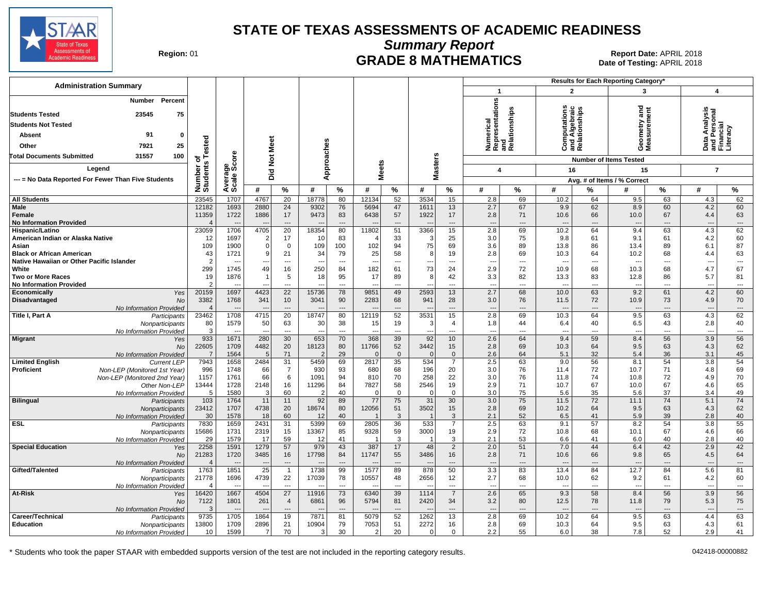

**Summary Report**

Region: 01 **Region: 01 Date: APRIL 2018**<br>Bate of Testing: APRIL 2018 Date of Testing: APRIL 2018

| <b>Administration Summary</b>                                           |                     |                        |                                  |                          |                      |                      |                                  |                    |                                  |                                | <b>Results for Each Reporting Category*</b>                                                |                          |                                                |                      |                                 |                      |                                 |                                |
|-------------------------------------------------------------------------|---------------------|------------------------|----------------------------------|--------------------------|----------------------|----------------------|----------------------------------|--------------------|----------------------------------|--------------------------------|--------------------------------------------------------------------------------------------|--------------------------|------------------------------------------------|----------------------|---------------------------------|----------------------|---------------------------------|--------------------------------|
|                                                                         |                     |                        |                                  |                          |                      |                      |                                  |                    |                                  |                                | $\mathbf{1}$                                                                               |                          | $\overline{2}$                                 |                      | 3                               |                      | $\boldsymbol{4}$                |                                |
| Percent<br>Number<br><b>Students Tested</b><br>23545<br>75              |                     |                        |                                  |                          |                      |                      |                                  |                    |                                  |                                | <b>Jumerical</b><br>Representations<br>Numerical<br>Representation<br>and<br>Relationships |                          | Computations<br>Ind Algebraic<br>Relationships |                      | ਠ<br>Ĕ                          | ā                    |                                 |                                |
| <b>Students Not Tested</b>                                              |                     |                        |                                  |                          |                      |                      |                                  |                    |                                  |                                |                                                                                            |                          |                                                |                      |                                 |                      | nalysi                          |                                |
|                                                                         |                     |                        |                                  |                          |                      |                      |                                  |                    |                                  |                                |                                                                                            |                          |                                                |                      | ieometry<br>leasurem            |                      |                                 |                                |
| 91<br><b>Absent</b><br>0                                                | ested               |                        |                                  |                          |                      |                      |                                  |                    |                                  |                                |                                                                                            |                          |                                                |                      |                                 |                      |                                 |                                |
| 7921<br>25<br>Other                                                     |                     |                        | Meet                             |                          |                      |                      |                                  |                    |                                  |                                |                                                                                            |                          | ن ≌ ھ                                          |                      | σΣ                              |                      | ᅀᄛᄕ                             |                                |
| 31557<br>Total Documents Submitted<br>100                               | † <del>ه</del><br>w | <b>ore</b>             | $\frac{5}{2}$                    |                          |                      |                      |                                  |                    |                                  |                                |                                                                                            |                          |                                                |                      | <b>Number of Items Tested</b>   |                      |                                 |                                |
| Legend                                                                  |                     | န္တပ္ကိ                |                                  |                          | Approaches           |                      | <b>Meets</b>                     |                    | <b>Masters</b>                   |                                | 4                                                                                          |                          | 16                                             |                      | 15                              |                      | $\overline{7}$                  |                                |
| --- = No Data Reported For Fewer Than Five Students                     |                     |                        | Did                              |                          |                      |                      |                                  |                    |                                  |                                |                                                                                            |                          |                                                |                      | Avg. # of Items / % Correct     |                      |                                 |                                |
|                                                                         | Number<br>Students  | Avera                  | #                                | $\%$                     | #                    | $\%$                 | #                                | $\%$               | #                                | $\%$                           | #                                                                                          | %                        | #                                              | %                    | #                               | %                    | #                               | $\frac{9}{6}$                  |
| <b>All Students</b>                                                     | 23545               | 1707                   | 4767                             | 20                       | 18778                | 80                   | 12134                            | 52                 | 3534                             | 15                             | 2.8                                                                                        | 69                       | 10.2                                           | 64                   | 9.5                             | 63                   | 4.3                             | 62                             |
| <b>Male</b>                                                             | 12182               | 1693                   | 2880                             | 24                       | 9302                 | 76                   | 5694                             | 47                 | 1611                             | 13                             | 2.7                                                                                        | 67                       | 9.9                                            | 62                   | 8.9                             | 60                   | 4.2                             | 60                             |
| Female                                                                  | 11359               | 1722                   | 1886                             | 17                       | 9473                 | 83                   | 6438                             | 57                 | 1922                             | 17                             | 2.8                                                                                        | 71                       | 10.6                                           | 66                   | 10.0                            | 67                   | 4.4                             | 63                             |
| <b>No Information Provided</b><br>Hispanic/Latino                       | 23059               | $---$<br>1706          | $\overline{\phantom{a}}$<br>4705 | $---$<br>20              | 18354                | $---$<br>80          | 11802                            | ---<br>51          | 3366                             | $---$<br>15                    | $\overline{a}$<br>2.8                                                                      | ---<br>69                | 10.2                                           | $---$<br>64          | $\overline{\phantom{a}}$<br>9.4 | $---$<br>63          | $\overline{\phantom{a}}$<br>4.3 | $\cdots$<br>62                 |
| American Indian or Alaska Native                                        | 12                  | 1697                   | $\overline{2}$                   | 17                       | 10                   | 83                   |                                  | 33                 | 3                                | 25                             | 3.0                                                                                        | 75                       | 9.8                                            | 61                   | 9.1                             | 61                   | 4.2                             | 60                             |
| Asian                                                                   | 109                 | 1900                   | $\overline{0}$                   | $\mathbf 0$              | 109                  | 100                  | 102                              | 94                 | 75                               | 69                             | 3.6                                                                                        | 89                       | 13.8                                           | 86                   | 13.4                            | 89                   | 6.1                             | 87                             |
| <b>Black or African American</b>                                        | 43                  | 1721                   | 9 <sub>l</sub>                   | 21                       | 34                   | 79                   | 25                               | 58                 | 8                                | 19                             | 2.8                                                                                        | 69                       | 10.3                                           | 64                   | 10.2                            | 68                   | 4.4                             | 63                             |
| Native Hawaiian or Other Pacific Islander                               | 2                   |                        |                                  | $\overline{\phantom{a}}$ |                      | ---                  |                                  | ---                | ---                              | $\overline{\phantom{a}}$       | --                                                                                         | $\overline{\phantom{a}}$ |                                                | $\overline{a}$       |                                 | ---                  | $\overline{\phantom{a}}$        | $\ldots$                       |
| White<br><b>Two or More Races</b>                                       | 299<br>19           | 1745<br>1876           | 49                               | 16<br>5                  | 250<br>18            | 84<br>95             | 182<br>17                        | 61<br>89           | 73<br>8                          | 24<br>42                       | 2.9<br>3.3                                                                                 | 72<br>82                 | 10.9                                           | 68<br>83             | 10.3<br>12.8                    | 68<br>86             | 4.7<br>5.7                      | 67<br>81                       |
| <b>No Information Provided</b>                                          | $\mathcal{P}$       |                        |                                  | ---                      |                      | $\overline{a}$       |                                  | ---                |                                  | ---                            | --                                                                                         | ---                      | 13.3<br>$\overline{\phantom{a}}$               | $\overline{a}$       | $\overline{a}$                  | $\overline{a}$       | $\overline{\phantom{a}}$        | $\overline{\phantom{a}}$       |
| Economically<br>Yes                                                     | 20159               | 1697                   | 4423                             | 22                       | 15736                | 78                   | 9851                             | 49                 | 2593                             | 13                             | 2.7                                                                                        | 68                       | 10.0                                           | 63                   | 9.2                             | 61                   | 4.2                             | 60                             |
| Disadvantaged<br><b>No</b>                                              | 3382                | 1768                   | 341                              | 10                       | 3041                 | 90                   | 2283                             | 68                 | 941                              | 28                             | 3.0                                                                                        | 76                       | 11.5                                           | 72                   | 10.9                            | 73                   | 4.9                             | 70                             |
| No Information Provided<br>Title I, Part A                              | 23462               | 1708                   | 4715                             | $\overline{a}$<br>20     | 18747                | 80                   | 12119                            | ---<br>52          | 3531                             | ---<br>15                      | $\overline{\phantom{a}}$<br>2.8                                                            | ---<br>69                | 10.3                                           | $\overline{a}$<br>64 | $\overline{\phantom{a}}$<br>9.5 | ---<br>63            | $\overline{\phantom{a}}$<br>4.3 | $\qquad \qquad \cdots$<br>62   |
| Participants<br>Nonparticipants                                         | 80                  | 1579                   | 50                               | 63                       | 30                   | 38                   | 15                               | 19                 | 3                                | $\overline{4}$                 | 1.8                                                                                        | 44                       | 6.4                                            | 40                   | 6.5                             | 43                   | 2.8                             | 40                             |
| No Information Provided                                                 | 3                   |                        | $\overline{\phantom{a}}$         | $---$                    |                      | ---                  |                                  | ---                |                                  | ---                            | --                                                                                         | ---                      |                                                | $\overline{a}$       | $\overline{\phantom{a}}$        | ---                  | $\overline{\phantom{a}}$        | ---                            |
| <b>Migrant</b><br>Yes                                                   | 933                 | 1671                   | 280                              | 30                       | 653                  | 70                   | 368                              | 39                 | 92                               | 10                             | 2.6                                                                                        | 64                       | 9.4                                            | 59                   | 8.4                             | 56                   | 3.9                             | 56                             |
| <b>No</b>                                                               | 22605               | 1709                   | 4482                             | 20                       | 18123                | 80                   | 11766                            | 52                 | 3442                             | 15                             | 2.8                                                                                        | 69                       | 10.3                                           | 64                   | 9.5                             | 63                   | 4.3                             | 62                             |
| No Information Provided<br><b>Limited English</b><br><b>Current LEP</b> | 7943                | 1564<br>1658           | 5<br>2484                        | 71<br>31                 | 5459                 | 29<br>69             | $\Omega$<br>2817                 | $\mathbf{0}$<br>35 | $\Omega$<br>534                  | $\mathbf{0}$<br>$\overline{7}$ | 2.6<br>2.5                                                                                 | 64<br>63                 | 5.1<br>9.0                                     | 32<br>56             | 5.4<br>8.1                      | 36<br>54             | 3.1<br>3.8                      | 45<br>54                       |
| Proficient<br>Non-LEP (Monitored 1st Year)                              | 996                 | 1748                   | 66                               | $\overline{7}$           | 930                  | 93                   | 680                              | 68                 | 196                              | 20                             | 3.0                                                                                        | 76                       | 11.4                                           | 72                   | 10.7                            | 71                   | 4.8                             | 69                             |
| Non-LEP (Monitored 2nd Year)                                            | 1157                | 1761                   | 66                               | 6                        | 1091                 | 94                   | 810                              | 70                 | 258                              | 22                             | 3.0                                                                                        | 76                       | 11.8                                           | 74                   | 10.8                            | 72                   | 4.9                             | 70                             |
| Other Non-LEP                                                           | 13444               | 1728                   | 2148                             | 16                       | 11296                | 84                   | 7827                             | 58                 | 2546                             | 19                             | 2.9                                                                                        | 71                       | 10.7                                           | 67                   | 10.0                            | 67                   | 4.6                             | 65                             |
| No Information Provided                                                 | 5                   | 1580                   | 3                                | 60                       | $\overline{2}$<br>92 | 40                   | $\Omega$                         | $\overline{0}$     | $\Omega$                         | $\mathbf 0$                    | 3.0                                                                                        | 75                       | 5.6                                            | 35                   | 5.6                             | 37<br>74             | 3.4                             | 49                             |
| <b>Bilingual</b><br>Participants<br>Nonparticipants                     | 103<br>23412        | 1764<br>1707           | 11<br>4738                       | 11<br>20                 | 18674                | 89<br>80             | 77<br>12056                      | 75<br>51           | 31<br>3502                       | 30<br>15                       | 3.0<br>2.8                                                                                 | 75<br>69                 | 11.5<br>10.2                                   | 72<br>64             | 11.1<br>9.5                     | 63                   | 5.1<br>4.3                      | 74<br>62                       |
| No Information Provideo                                                 | 30                  | 1578                   | 18                               | 60                       | 12                   | 40                   |                                  | 3                  |                                  | 3                              | 2.1                                                                                        | 52                       | 6.5                                            | 41                   | 5.9                             | 39                   | 2.8                             | 40                             |
| ESL<br>Participants                                                     | 7830                | 1659                   | 2431                             | 31                       | 5399                 | 69                   | 2805                             | 36                 | 533                              | $\overline{7}$                 | 2.5                                                                                        | 63                       | 9.1                                            | 57                   | 8.2                             | 54                   | 3.8                             | 55                             |
| Nonparticipants                                                         | 15686               | 1731                   | 2319                             | 15                       | 13367                | 85                   | 9328                             | 59                 | 3000                             | 19                             | 2.9                                                                                        | 72                       | 10.8                                           | 68                   | 10.1                            | 67                   | 4.6                             | 66                             |
| No Information Provided<br><b>Special Education</b>                     | 29<br>2258          | 1579<br>1591           | 17<br>1279                       | 59<br>57                 | 12<br>979            | 41<br>43             | 387                              | $\mathbf{3}$<br>17 | 48                               | 3<br>$\overline{2}$            | 2.1<br>2.0                                                                                 | 53<br>51                 | 6.6<br>7.0                                     | 41<br>44             | 6.0<br>6.4                      | 40<br>42             | 2.8<br>2.9                      | 40<br>42                       |
| Yes<br><b>No</b>                                                        | 21283               | 1720                   | 3485                             | 16                       | 17798                | 84                   | 11747                            | 55                 | 3486                             | 16                             | 2.8                                                                                        | 71                       | 10.6                                           | 66                   | 9.8                             | 65                   | 4.5                             | 64                             |
| No Information Provided                                                 | $\Delta$            |                        |                                  | $---$                    |                      | $\overline{a}$       |                                  | ---                |                                  | ---                            | $\overline{\phantom{a}}$                                                                   | ---                      |                                                | ---                  |                                 | $---$                | $\overline{\phantom{a}}$        | $\overline{\phantom{a}}$       |
| Gifted/Talented<br>Participants                                         | 1763                | 1851                   | 25                               | $\mathbf{1}$             | 1738                 | 99                   | 1577                             | 89                 | 878                              | 50                             | $\overline{3.3}$                                                                           | 83                       | 13.4                                           | 84                   | 12.7                            | 84                   | 5.6                             | 81                             |
| Nonparticipants                                                         | 21778               | 1696                   | 4739                             | 22                       | 17039                | 78                   | 10557                            | 48                 | 2656                             | 12                             | 2.7                                                                                        | 68                       | 10.0                                           | 62                   | 9.2                             | 61                   | 4.2                             | 60                             |
| No Information Provided<br>At-Risk                                      | $\Delta$<br>16420   | $\overline{a}$<br>1667 | $\overline{\phantom{a}}$<br>4504 | $\overline{a}$<br>27     | 11916                | $\overline{a}$<br>73 | $\overline{\phantom{a}}$<br>6340 | ---<br>39          | $\overline{\phantom{a}}$<br>1114 | ---<br>$\overline{7}$          | ---<br>2.6                                                                                 | ---<br>65                | $---$<br>9.3                                   | $\overline{a}$<br>58 | $\sim$<br>8.4                   | $\overline{a}$<br>56 | $\overline{\phantom{a}}$<br>3.9 | $\hspace{0.05cm} \ldots$<br>56 |
| Yes<br><b>No</b>                                                        | 7122                | 1801                   | 261                              | $\overline{4}$           | 6861                 | 96                   | 5794                             | 81                 | 2420                             | 34                             | 3.2                                                                                        | 80                       | 12.5                                           | 78                   | 11.8                            | 79                   | 5.3                             | 75                             |
| No Information Provided                                                 | -3                  |                        |                                  | $---$                    |                      | $\overline{a}$       |                                  |                    |                                  | ---                            | $\overline{a}$                                                                             | ---                      |                                                |                      |                                 | $\overline{a}$       | $\overline{a}$                  | $\overline{\phantom{a}}$       |
| Career/Technical<br>Participants                                        | 9735                | 1705                   | 1864                             | 19                       | 7871                 | 81                   | 5079                             | 52                 | 1262                             | $\overline{13}$                | 2.8                                                                                        | 69                       | 10.2                                           | 64                   | 9.5                             | 63                   | 4.4                             | 63                             |
| <b>Education</b><br>Nonparticipants                                     | 13800               | 1709                   | 2896                             | 21                       | 10904                | 79                   | 7053                             | 51                 | 2272                             | 16                             | 2.8                                                                                        | 69                       | 10.3                                           | 64                   | 9.5                             | 63                   | 4.3                             | 61                             |
| No Information Provided                                                 | 10                  | 1599                   | 7                                | 70                       | 3                    | 30                   | 2                                | 20                 | $\Omega$                         | $\mathbf 0$                    | 2.2                                                                                        | 55                       | 6.0                                            | 38                   | 7.8                             | 52                   | 2.9                             | 41                             |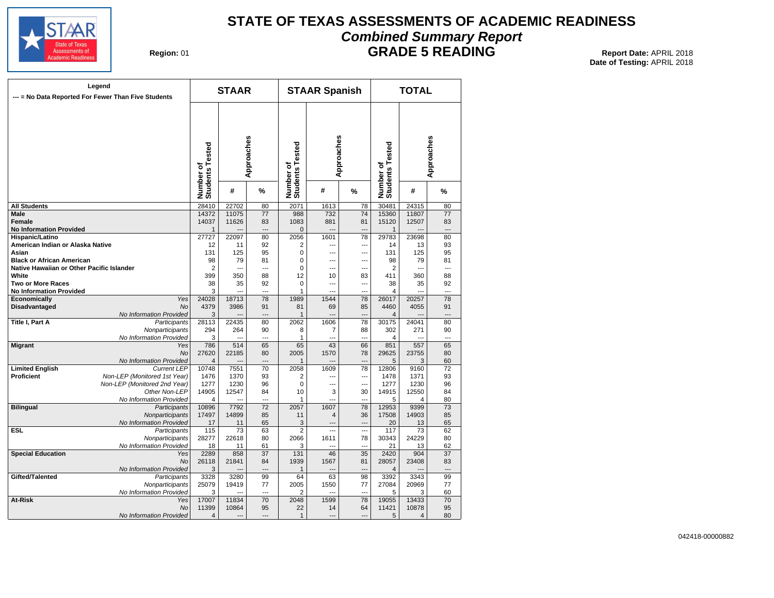

### **STATE OF TEXAS ASSESSMENTS OF ACADEMIC READINESS Combined Summary Report**

**Region: 01** 

**GRADE 5 READING** Report Date: APRIL 2018 **Date of Testing:**  APRIL 2018

|                                           | Legend<br>--- = No Data Reported For Fewer Than Five Students |                              | <b>STAAR</b> |                 |                              | <b>STAAR Spanish</b> |                                |                              | <b>TOTAL</b>            |                      |
|-------------------------------------------|---------------------------------------------------------------|------------------------------|--------------|-----------------|------------------------------|----------------------|--------------------------------|------------------------------|-------------------------|----------------------|
|                                           |                                                               | Number of<br>Students Tested |              | w<br>Approaches | Number of<br>Students Tested | Approaches           |                                | Number of<br>Students Tested |                         | Approaches           |
|                                           |                                                               |                              | #            | %               |                              | #                    | %                              |                              | #                       | %                    |
| <b>All Students</b>                       |                                                               | 28410                        | 22702        | 80              | 2071                         | 1613                 | 78                             | 30481                        | 24315                   | 80                   |
| <b>Male</b>                               |                                                               | 14372                        | 11075        | $\overline{77}$ | 988                          | 732                  | 74                             | 15360                        | 11807                   | $\overline{77}$      |
| <b>Female</b>                             |                                                               | 14037                        | 11626        | 83              | 1083                         | 881                  | 81                             | 15120                        | 12507                   | 83                   |
| <b>No Information Provided</b>            |                                                               | $\mathbf{1}$                 |              | ---             | $\mathbf{0}$                 | ---                  | $\overline{a}$                 | $\mathbf{1}$                 |                         | ---                  |
| Hispanic/Latino                           |                                                               | 27727                        | 22097        | 80              | 2056                         | 1601                 | 78                             | 29783                        | 23698                   | 80                   |
| American Indian or Alaska Native          |                                                               | 12                           | 11           | 92              | $\overline{2}$               | $\overline{a}$       | ---                            | 14                           | 13                      | 93                   |
| Asian                                     |                                                               | 131                          | 125          | 95              | $\mathbf 0$                  | ---                  | ---                            | 131                          | 125                     | 95                   |
| <b>Black or African American</b>          |                                                               | 98                           | 79           | 81              | $\mathbf 0$                  | ---                  | ---                            | 98                           | 79                      | 81                   |
| Native Hawaiian or Other Pacific Islander |                                                               | 2                            | ---          | ---             | $\mathbf 0$                  | $\overline{a}$       | ---                            | 2                            | ÷-                      | ---                  |
| White                                     |                                                               | 399                          | 350          | 88              | 12                           | 10                   | 83                             | 411                          | 360                     | 88                   |
| <b>Two or More Races</b>                  |                                                               | 38                           | 35           | 92              | 0                            | $\overline{a}$       | ---                            | 38                           | 35                      | 92                   |
| <b>No Information Provided</b>            |                                                               | 3                            | $\sim$       | $\overline{a}$  | $\mathbf{1}$                 | ---                  | ---                            | $\overline{4}$               |                         | $\overline{a}$       |
| Economically                              | Yes                                                           | 24028                        | 18713        | 78              | 1989                         | 1544                 | 78                             | 26017                        | 20257                   | 78                   |
| <b>Disadvantaged</b>                      | No                                                            | 4379                         | 3986         | 91<br>$---$     | 81                           | 69<br>$\sim$         | 85<br>$\overline{\phantom{a}}$ | 4460                         | 4055<br>$\overline{a}$  | 91<br>$\overline{a}$ |
| Title I, Part A                           | No Information Provided<br>Participants                       | 3<br>28113                   | 22435        | 80              | $\mathbf{1}$<br>2062         | 1606                 | 78                             | 4<br>30175                   | 24041                   | 80                   |
|                                           | Nonparticipants                                               | 294                          | 264          | 90              | 8                            | 7                    | 88                             | 302                          | 271                     | 90                   |
|                                           | No Information Provided                                       | 3                            |              |                 | 1                            | ---                  | ÷.,                            | 4                            |                         | ---                  |
| <b>Migrant</b>                            | Yes                                                           | 786                          | 514          | 65              | 65                           | 43                   | 66                             | 851                          | 557                     | 65                   |
|                                           | No                                                            | 27620                        | 22185        | 80              | 2005                         | 1570                 | 78                             | 29625                        | 23755                   | 80                   |
|                                           | No Information Provided                                       | 4                            |              | ---             | $\mathbf{1}$                 |                      | $\overline{a}$                 | 5                            | 3                       | 60                   |
| <b>Limited English</b>                    | <b>Current LEP</b>                                            | 10748                        | 7551         | 70              | 2058                         | 1609                 | 78                             | 12806                        | 9160                    | 72                   |
| Proficient                                | Non-LEP (Monitored 1st Year)                                  | 1476                         | 1370         | 93              | 2                            | $\overline{a}$       | $\overline{a}$                 | 1478                         | 1371                    | 93                   |
|                                           | Non-LEP (Monitored 2nd Year)                                  | 1277                         | 1230         | 96              | $\mathbf 0$                  | ---                  | $\overline{a}$                 | 1277                         | 1230                    | 96                   |
|                                           | Other Non-LEP                                                 | 14905                        | 12547        | 84              | 10                           | 3                    | 30                             | 14915                        | 12550                   | 84                   |
|                                           | No Information Provided                                       | 4                            | $\sim$       | $\overline{a}$  | 1                            | $\overline{a}$       | $\overline{\phantom{a}}$       | 5                            | 4                       | 80                   |
| <b>Bilingual</b>                          | Participants                                                  | 10896                        | 7792         | 72              | 2057                         | 1607                 | 78                             | 12953                        | 9399                    | 73                   |
|                                           | Nonparticipants                                               | 17497                        | 14899        | 85              | 11                           | $\overline{4}$       | 36                             | 17508                        | 14903                   | 85                   |
|                                           | No Information Provided                                       | 17                           | 11           | 65              | 3                            | ---                  | $\overline{a}$                 | 20                           | 13                      | 65                   |
| <b>ESL</b>                                | Participants                                                  | 115                          | 73           | 63              | $\overline{2}$               | $\overline{a}$       | $\overline{\phantom{a}}$       | 117                          | 73                      | 62                   |
|                                           | Nonparticipants                                               | 28277                        | 22618        | 80              | 2066                         | 1611                 | 78                             | 30343                        | 24229                   | 80                   |
|                                           | No Information Provided                                       | 18                           | 11           | 61              | 3                            |                      | $\sim$                         | 21                           | 13                      | 62                   |
| <b>Special Education</b>                  | Yes                                                           | 2289                         | 858          | 37              | 131                          | 46                   | 35                             | 2420                         | 904                     | 37                   |
|                                           | <b>No</b>                                                     | 26118                        | 21841        | 84              | 1939                         | 1567                 | 81                             | 28057                        | 23408                   | 83                   |
|                                           | No Information Provided                                       | 3                            |              | $---$           | $\mathbf{1}$                 | ---                  | $\overline{a}$                 | $\overline{4}$               |                         | $\overline{a}$       |
| Gifted/Talented                           | Participants                                                  | 3328                         | 3280         | 99              | 64                           | 63                   | 98                             | 3392                         | 3343                    | 99                   |
|                                           | Nonparticipants                                               | 25079                        | 19419        | 77              | 2005                         | 1550                 | 77                             | 27084                        | 20969                   | 77                   |
|                                           | No Information Provided                                       | 3                            |              | $\overline{a}$  | 2                            | $\sim$               | $\overline{a}$                 | 5                            | 3                       | 60                   |
| At-Risk                                   | Yes                                                           | 17007                        | 11834        | 70              | 2048                         | 1599                 | 78                             | 19055                        | 13433                   | 70                   |
|                                           | <b>No</b>                                                     | 11399                        | 10864        | 95              | 22                           | 14                   | 64                             | 11421                        | 10878                   | 95                   |
|                                           | No Information Provided                                       | 4                            | ---          | $\overline{a}$  | $\mathbf{1}$                 | $\overline{a}$       | ---                            | 5                            | $\overline{\mathbf{4}}$ | 80                   |